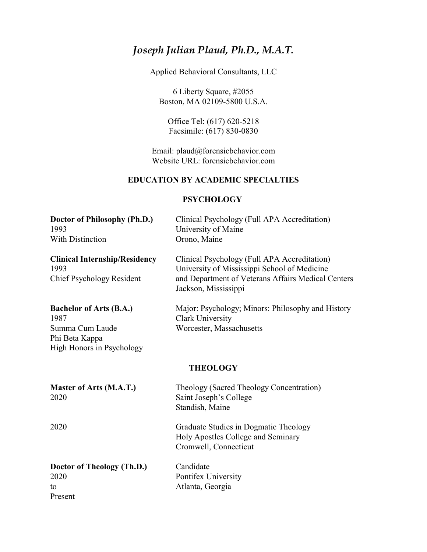Applied Behavioral Consultants, LLC

6 Liberty Square, #2055 Boston, MA 02109-5800 U.S.A.

Office Tel: (617) 620-5218 Facsimile: (617) 830-0830

Email: plaud@forensicbehavior.com Website URL: forensicbehavior.com

### **EDUCATION BY ACADEMIC SPECIALTIES**

### **PSYCHOLOGY**

| Doctor of Philosophy (Ph.D.)<br>1993<br>With Distinction                                                 | Clinical Psychology (Full APA Accreditation)<br>University of Maine<br>Orono, Maine                                                                                        |
|----------------------------------------------------------------------------------------------------------|----------------------------------------------------------------------------------------------------------------------------------------------------------------------------|
| <b>Clinical Internship/Residency</b><br>1993<br><b>Chief Psychology Resident</b>                         | Clinical Psychology (Full APA Accreditation)<br>University of Mississippi School of Medicine<br>and Department of Veterans Affairs Medical Centers<br>Jackson, Mississippi |
| <b>Bachelor of Arts (B.A.)</b><br>1987<br>Summa Cum Laude<br>Phi Beta Kappa<br>High Honors in Psychology | Major: Psychology; Minors: Philosophy and History<br><b>Clark University</b><br>Worcester, Massachusetts                                                                   |
|                                                                                                          | <b>THEOLOGY</b>                                                                                                                                                            |
| Master of Arts (M.A.T.)<br>2020                                                                          | Theology (Sacred Theology Concentration)<br>Saint Joseph's College<br>Standish, Maine                                                                                      |
| 2020                                                                                                     | Graduate Studies in Dogmatic Theology<br>Holy Apostles College and Seminary<br>Cromwell, Connecticut                                                                       |
| Doctor of Theology (Th.D.)<br>2020<br>to<br>Present                                                      | Candidate<br>Pontifex University<br>Atlanta, Georgia                                                                                                                       |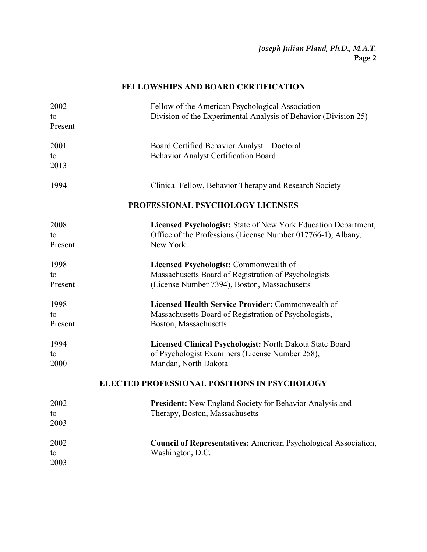# **FELLOWSHIPS AND BOARD CERTIFICATION**

| 2002<br>to<br>Present | Fellow of the American Psychological Association<br>Division of the Experimental Analysis of Behavior (Division 25)                        |
|-----------------------|--------------------------------------------------------------------------------------------------------------------------------------------|
| 2001<br>to<br>2013    | Board Certified Behavior Analyst - Doctoral<br><b>Behavior Analyst Certification Board</b>                                                 |
| 1994                  | Clinical Fellow, Behavior Therapy and Research Society                                                                                     |
|                       | PROFESSIONAL PSYCHOLOGY LICENSES                                                                                                           |
| 2008<br>to<br>Present | Licensed Psychologist: State of New York Education Department,<br>Office of the Professions (License Number 017766-1), Albany,<br>New York |
| 1998                  | Licensed Psychologist: Commonwealth of                                                                                                     |
| to                    | Massachusetts Board of Registration of Psychologists                                                                                       |
| Present               | (License Number 7394), Boston, Massachusetts                                                                                               |
| 1998                  | Licensed Health Service Provider: Commonwealth of                                                                                          |
| to                    | Massachusetts Board of Registration of Psychologists,                                                                                      |
| Present               | Boston, Massachusetts                                                                                                                      |
| 1994                  | Licensed Clinical Psychologist: North Dakota State Board                                                                                   |
| to                    | of Psychologist Examiners (License Number 258),                                                                                            |
| 2000                  | Mandan, North Dakota                                                                                                                       |
|                       | <b>ELECTED PROFESSIONAL POSITIONS IN PSYCHOLOGY</b>                                                                                        |
| 2002                  | <b>President:</b> New England Society for Behavior Analysis and                                                                            |
| tΩ.                   | Therapy, Boston, Massachusetts                                                                                                             |
| 2003                  |                                                                                                                                            |
| 2002                  | <b>Council of Representatives:</b> American Psychological Association,                                                                     |
| to                    | Washington, D.C.                                                                                                                           |
| 2003                  |                                                                                                                                            |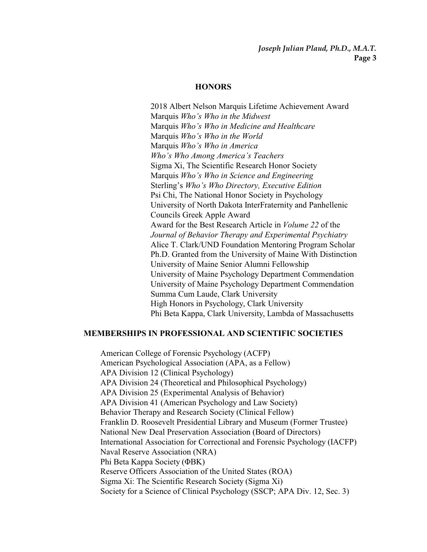#### **HONORS**

2018 Albert Nelson Marquis Lifetime Achievement Award Marquis *Who's Who in the Midwest* Marquis *Who's Who in Medicine and Healthcare* Marquis *Who's Who in the World* Marquis *Who's Who in America Who's Who Among America's Teachers* Sigma Xi, The Scientific Research Honor Society Marquis *Who's Who in Science and Engineering* Sterling's *Who's Who Directory, Executive Edition* Psi Chi, The National Honor Society in Psychology University of North Dakota InterFraternity and Panhellenic Councils Greek Apple Award Award for the Best Research Article in *Volume 22* of the *Journal of Behavior Therapy and Experimental Psychiatry* Alice T. Clark/UND Foundation Mentoring Program Scholar Ph.D. Granted from the University of Maine With Distinction University of Maine Senior Alumni Fellowship University of Maine Psychology Department Commendation University of Maine Psychology Department Commendation Summa Cum Laude, Clark University High Honors in Psychology, Clark University Phi Beta Kappa, Clark University, Lambda of Massachusetts

### **MEMBERSHIPS IN PROFESSIONAL AND SCIENTIFIC SOCIETIES**

American College of Forensic Psychology (ACFP) American Psychological Association (APA, as a Fellow) APA Division 12 (Clinical Psychology) APA Division 24 (Theoretical and Philosophical Psychology) APA Division 25 (Experimental Analysis of Behavior) APA Division 41 (American Psychology and Law Society) Behavior Therapy and Research Society (Clinical Fellow) Franklin D. Roosevelt Presidential Library and Museum (Former Trustee) National New Deal Preservation Association (Board of Directors) International Association for Correctional and Forensic Psychology (IACFP) Naval Reserve Association (NRA) Phi Beta Kappa Society (**DBK**) Reserve Officers Association of the United States (ROA) Sigma Xi: The Scientific Research Society (Sigma Xi) Society for a Science of Clinical Psychology (SSCP; APA Div. 12, Sec. 3)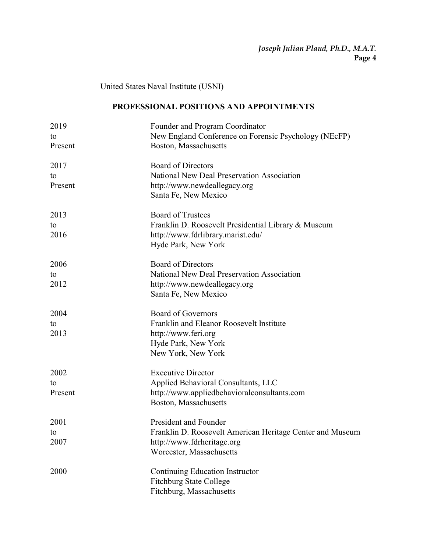United States Naval Institute (USNI)

## **PROFESSIONAL POSITIONS AND APPOINTMENTS**

| 2019    | Founder and Program Coordinator                           |
|---------|-----------------------------------------------------------|
| to      | New England Conference on Forensic Psychology (NEcFP)     |
| Present | Boston, Massachusetts                                     |
| 2017    | <b>Board of Directors</b>                                 |
| to      | National New Deal Preservation Association                |
| Present | http://www.newdeallegacy.org                              |
|         | Santa Fe, New Mexico                                      |
| 2013    | <b>Board of Trustees</b>                                  |
| to      | Franklin D. Roosevelt Presidential Library & Museum       |
| 2016    | http://www.fdrlibrary.marist.edu/                         |
|         | Hyde Park, New York                                       |
| 2006    | <b>Board of Directors</b>                                 |
| to      | National New Deal Preservation Association                |
| 2012    | http://www.newdeallegacy.org                              |
|         | Santa Fe, New Mexico                                      |
| 2004    | <b>Board of Governors</b>                                 |
| to      | Franklin and Eleanor Roosevelt Institute                  |
| 2013    | http://www.feri.org                                       |
|         | Hyde Park, New York                                       |
|         | New York, New York                                        |
| 2002    | <b>Executive Director</b>                                 |
| to      | Applied Behavioral Consultants, LLC                       |
| Present | http://www.appliedbehavioralconsultants.com               |
|         | Boston, Massachusetts                                     |
| 2001    | <b>President and Founder</b>                              |
| to      | Franklin D. Roosevelt American Heritage Center and Museum |
| 2007    | http://www.fdrheritage.org                                |
|         | Worcester, Massachusetts                                  |
| 2000    | Continuing Education Instructor                           |
|         | <b>Fitchburg State College</b>                            |
|         | Fitchburg, Massachusetts                                  |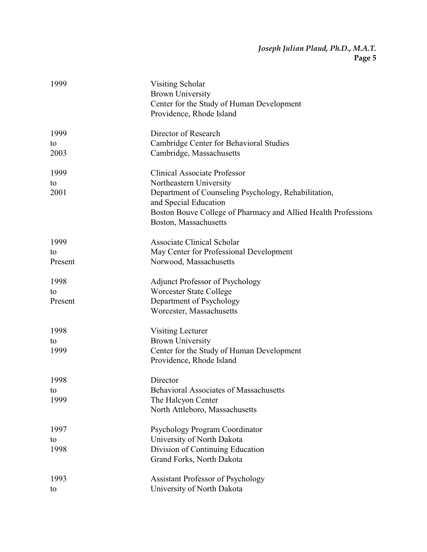| 1999    | <b>Visiting Scholar</b>                                        |
|---------|----------------------------------------------------------------|
|         | <b>Brown University</b>                                        |
|         | Center for the Study of Human Development                      |
|         | Providence, Rhode Island                                       |
| 1999    | Director of Research                                           |
| to      | Cambridge Center for Behavioral Studies                        |
| 2003    | Cambridge, Massachusetts                                       |
| 1999    | <b>Clinical Associate Professor</b>                            |
| to      | Northeastern University                                        |
| 2001    | Department of Counseling Psychology, Rehabilitation,           |
|         | and Special Education                                          |
|         | Boston Bouve College of Pharmacy and Allied Health Professions |
|         | Boston, Massachusetts                                          |
| 1999    | <b>Associate Clinical Scholar</b>                              |
| to      | May Center for Professional Development                        |
| Present | Norwood, Massachusetts                                         |
| 1998    | <b>Adjunct Professor of Psychology</b>                         |
| to      | Worcester State College                                        |
| Present | Department of Psychology                                       |
|         | Worcester, Massachusetts                                       |
| 1998    | Visiting Lecturer                                              |
| to      | <b>Brown University</b>                                        |
| 1999    | Center for the Study of Human Development                      |
|         | Providence, Rhode Island                                       |
| 1998    | Director                                                       |
| to      | <b>Behavioral Associates of Massachusetts</b>                  |
| 1999    | The Halcyon Center                                             |
|         | North Attleboro, Massachusetts                                 |
| 1997    | Psychology Program Coordinator                                 |
| to      | University of North Dakota                                     |
| 1998    | Division of Continuing Education                               |
|         | Grand Forks, North Dakota                                      |
| 1993    | <b>Assistant Professor of Psychology</b>                       |
| to      | University of North Dakota                                     |
|         |                                                                |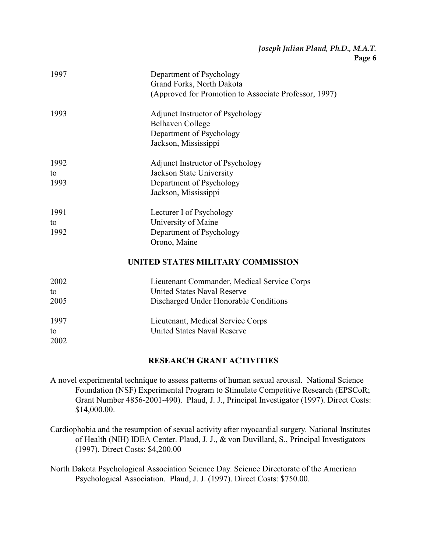| 1997 | Department of Psychology<br>Grand Forks, North Dakota                                                                                                                                                                                                                                                                              |
|------|------------------------------------------------------------------------------------------------------------------------------------------------------------------------------------------------------------------------------------------------------------------------------------------------------------------------------------|
|      | (Approved for Promotion to Associate Professor, 1997)                                                                                                                                                                                                                                                                              |
| 1993 | Adjunct Instructor of Psychology                                                                                                                                                                                                                                                                                                   |
|      | <b>Belhaven College</b>                                                                                                                                                                                                                                                                                                            |
|      | Department of Psychology                                                                                                                                                                                                                                                                                                           |
|      | Jackson, Mississippi                                                                                                                                                                                                                                                                                                               |
| 1992 | Adjunct Instructor of Psychology                                                                                                                                                                                                                                                                                                   |
| to   | Jackson State University                                                                                                                                                                                                                                                                                                           |
| 1993 | Department of Psychology                                                                                                                                                                                                                                                                                                           |
|      | Jackson, Mississippi                                                                                                                                                                                                                                                                                                               |
| 1991 | Lecturer I of Psychology                                                                                                                                                                                                                                                                                                           |
| to   | University of Maine                                                                                                                                                                                                                                                                                                                |
| 1992 | Department of Psychology                                                                                                                                                                                                                                                                                                           |
|      | Orono, Maine                                                                                                                                                                                                                                                                                                                       |
|      | UNITED STATES MILITARY COMMISSION                                                                                                                                                                                                                                                                                                  |
| 2002 | Lieutenant Commander, Medical Service Corps                                                                                                                                                                                                                                                                                        |
| to   | <b>United States Naval Reserve</b>                                                                                                                                                                                                                                                                                                 |
| 2005 | Discharged Under Honorable Conditions                                                                                                                                                                                                                                                                                              |
| 1007 | $\mathbf{I}$ $\mathbf{I}$ $\mathbf{I}$ $\mathbf{I}$ $\mathbf{I}$ $\mathbf{I}$ $\mathbf{I}$ $\mathbf{I}$ $\mathbf{I}$ $\mathbf{I}$ $\mathbf{I}$ $\mathbf{I}$ $\mathbf{I}$ $\mathbf{I}$ $\mathbf{I}$ $\mathbf{I}$ $\mathbf{I}$ $\mathbf{I}$ $\mathbf{I}$ $\mathbf{I}$ $\mathbf{I}$ $\mathbf{I}$ $\mathbf{I}$ $\mathbf{I}$ $\mathbf{$ |

1997 Lieutenant, Medical Service Corps to United States Naval Reserve

2002

### **RESEARCH GRANT ACTIVITIES**

A novel experimental technique to assess patterns of human sexual arousal. National Science Foundation (NSF) Experimental Program to Stimulate Competitive Research (EPSCoR; Grant Number 4856-2001-490). Plaud, J. J., Principal Investigator (1997). Direct Costs: \$14,000.00.

Cardiophobia and the resumption of sexual activity after myocardial surgery. National Institutes of Health (NIH) IDEA Center. Plaud, J. J., & von Duvillard, S., Principal Investigators (1997). Direct Costs: \$4,200.00

North Dakota Psychological Association Science Day. Science Directorate of the American Psychological Association. Plaud, J. J. (1997). Direct Costs: \$750.00.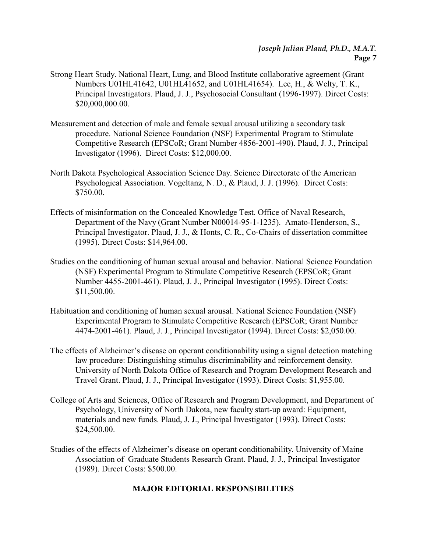- Strong Heart Study. National Heart, Lung, and Blood Institute collaborative agreement (Grant Numbers U01HL41642, U01HL41652, and U01HL41654). Lee, H., & Welty, T. K., Principal Investigators. Plaud, J. J., Psychosocial Consultant (1996-1997). Direct Costs: \$20,000,000.00.
- Measurement and detection of male and female sexual arousal utilizing a secondary task procedure. National Science Foundation (NSF) Experimental Program to Stimulate Competitive Research (EPSCoR; Grant Number 4856-2001-490). Plaud, J. J., Principal Investigator (1996). Direct Costs: \$12,000.00.
- North Dakota Psychological Association Science Day. Science Directorate of the American Psychological Association. Vogeltanz, N. D., & Plaud, J. J. (1996). Direct Costs: \$750.00.
- Effects of misinformation on the Concealed Knowledge Test. Office of Naval Research, Department of the Navy (Grant Number N00014-95-1-1235). Amato-Henderson, S., Principal Investigator. Plaud, J. J., & Honts, C. R., Co-Chairs of dissertation committee (1995). Direct Costs: \$14,964.00.
- Studies on the conditioning of human sexual arousal and behavior. National Science Foundation (NSF) Experimental Program to Stimulate Competitive Research (EPSCoR; Grant Number 4455-2001-461). Plaud, J. J., Principal Investigator (1995). Direct Costs: \$11,500.00.
- Habituation and conditioning of human sexual arousal. National Science Foundation (NSF) Experimental Program to Stimulate Competitive Research (EPSCoR; Grant Number 4474-2001-461). Plaud, J. J., Principal Investigator (1994). Direct Costs: \$2,050.00.
- The effects of Alzheimer's disease on operant conditionability using a signal detection matching law procedure: Distinguishing stimulus discriminability and reinforcement density. University of North Dakota Office of Research and Program Development Research and Travel Grant. Plaud, J. J., Principal Investigator (1993). Direct Costs: \$1,955.00.
- College of Arts and Sciences, Office of Research and Program Development, and Department of Psychology, University of North Dakota, new faculty start-up award: Equipment, materials and new funds. Plaud, J. J., Principal Investigator (1993). Direct Costs: \$24,500.00.
- Studies of the effects of Alzheimer's disease on operant conditionability. University of Maine Association of Graduate Students Research Grant. Plaud, J. J., Principal Investigator (1989). Direct Costs: \$500.00.

### **MAJOR EDITORIAL RESPONSIBILITIES**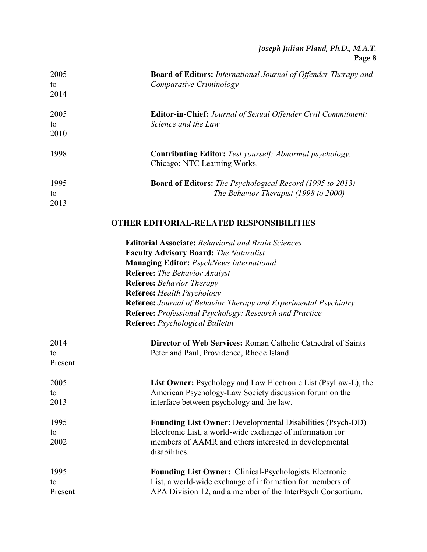| 2005<br>to<br>2014 | <b>Board of Editors:</b> International Journal of Offender Therapy and<br>Comparative Criminology |
|--------------------|---------------------------------------------------------------------------------------------------|
|                    |                                                                                                   |
| 2005<br>to         | <b>Editor-in-Chief:</b> Journal of Sexual Offender Civil Commitment:<br>Science and the Law       |
| 2010               |                                                                                                   |
| 1998               | <b>Contributing Editor:</b> Test yourself: Abnormal psychology.<br>Chicago: NTC Learning Works.   |
| 1995               | <b>Board of Editors:</b> The Psychological Record (1995 to 2013)                                  |
| to                 | The Behavior Therapist (1998 to 2000)                                                             |
| 2013               |                                                                                                   |

### **OTHER EDITORIAL-RELATED RESPONSIBILITIES**

**Editorial Associate:** *Behavioral and Brain Sciences* **Faculty Advisory Board:** *The Naturalist* **Managing Editor:** *PsychNews International* **Referee:** *The Behavior Analyst* **Referee:** *Behavior Therapy* **Referee:** *Health Psychology* **Referee:** *Journal of Behavior Therapy and Experimental Psychiatry* **Referee:** *Professional Psychology: Research and Practice* **Referee:** *Psychological Bulletin*

| 2014    | <b>Director of Web Services: Roman Catholic Cathedral of Saints</b>     |
|---------|-------------------------------------------------------------------------|
| to      | Peter and Paul, Providence, Rhode Island.                               |
| Present |                                                                         |
| 2005    | <b>List Owner:</b> Psychology and Law Electronic List (PsyLaw-L), the   |
| to      | American Psychology-Law Society discussion forum on the                 |
| 2013    | interface between psychology and the law.                               |
| 1995    | <b>Founding List Owner: Developmental Disabilities (Psych-DD)</b>       |
| to      | Electronic List, a world-wide exchange of information for               |
| 2002    | members of AAMR and others interested in developmental<br>disabilities. |
| 1995    | <b>Founding List Owner:</b> Clinical-Psychologists Electronic           |
| to      | List, a world-wide exchange of information for members of               |
| Present | APA Division 12, and a member of the InterPsych Consortium.             |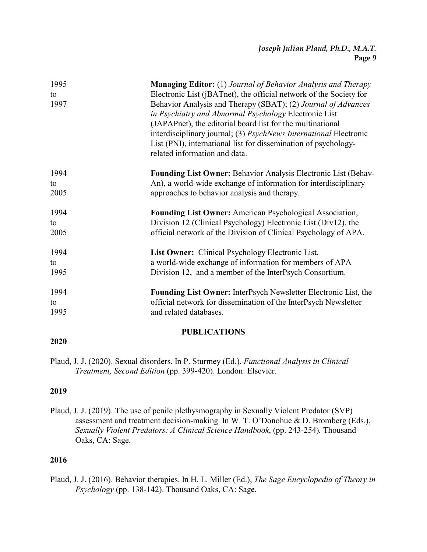| 1995 | <b>Managing Editor:</b> (1) Journal of Behavior Analysis and Therapy   |
|------|------------------------------------------------------------------------|
| to   | Electronic List (jBATnet), the official network of the Society for     |
| 1997 | Behavior Analysis and Therapy (SBAT); (2) Journal of Advances          |
|      | in Psychiatry and Abnormal Psychology Electronic List                  |
|      | (JAPAPnet), the editorial board list for the multinational             |
|      | interdisciplinary journal; (3) PsychNews International Electronic      |
|      | List (PNI), international list for dissemination of psychology-        |
|      | related information and data.                                          |
| 1994 | <b>Founding List Owner: Behavior Analysis Electronic List (Behav-</b>  |
| to   | An), a world-wide exchange of information for interdisciplinary        |
| 2005 | approaches to behavior analysis and therapy.                           |
| 1994 | <b>Founding List Owner:</b> American Psychological Association,        |
| to   | Division 12 (Clinical Psychology) Electronic List (Div12), the         |
| 2005 | official network of the Division of Clinical Psychology of APA.        |
| 1994 | <b>List Owner:</b> Clinical Psychology Electronic List,                |
| to   | a world-wide exchange of information for members of APA                |
| 1995 | Division 12, and a member of the InterPsych Consortium.                |
| 1994 | <b>Founding List Owner:</b> InterPsych Newsletter Electronic List, the |
| to   | official network for dissemination of the InterPsych Newsletter        |
| 1995 | and related databases.                                                 |
|      |                                                                        |

# **PUBLICATIONS**

Plaud, J. J. (2020). Sexual disorders. In P. Sturmey (Ed.), *Functional Analysis in Clinical Treatment, Second Edition* (pp. 399-420). London: Elsevier.

### **2019**

**2020**

Plaud, J. J. (2019). The use of penile plethysmography in Sexually Violent Predator (SVP) assessment and treatment decision-making. In W. T. O'Donohue & D. Bromberg (Eds.), *Sexually Violent Predators: A Clinical Science Handbook*, (pp. 243-254)*.* Thousand Oaks, CA: Sage.

## **2016**

Plaud, J. J. (2016). Behavior therapies. In H. L. Miller (Ed.), *The Sage Encyclopedia of Theory in Psychology* (pp. 138-142). Thousand Oaks, CA: Sage.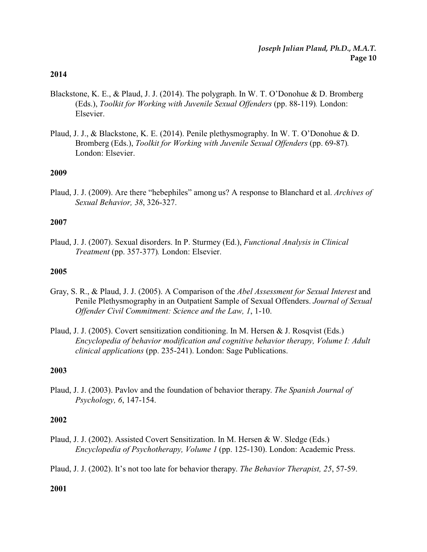- Blackstone, K. E., & Plaud, J. J. (2014). The polygraph. In W. T. O'Donohue & D. Bromberg (Eds.), *Toolkit for Working with Juvenile Sexual Offenders* (pp. 88-119)*.* London: Elsevier.
- Plaud, J. J., & Blackstone, K. E. (2014). Penile plethysmography. In W. T. O'Donohue & D. Bromberg (Eds.), *Toolkit for Working with Juvenile Sexual Offenders* (pp. 69-87)*.* London: Elsevier.

#### **2009**

Plaud, J. J. (2009). Are there "hebephiles" among us? A response to Blanchard et al. *Archives of Sexual Behavior, 38*, 326-327.

#### **2007**

Plaud, J. J. (2007). Sexual disorders. In P. Sturmey (Ed.), *Functional Analysis in Clinical Treatment* (pp. 357-377)*.* London: Elsevier.

#### **2005**

- Gray, S. R., & Plaud, J. J. (2005). A Comparison of the *Abel Assessment for Sexual Interest* and Penile Plethysmography in an Outpatient Sample of Sexual Offenders. *Journal of Sexual Offender Civil Commitment: Science and the Law, 1*, 1-10.
- Plaud, J. J. (2005). Covert sensitization conditioning. In M. Hersen & J. Rosqvist (Eds.) *Encyclopedia of behavior modification and cognitive behavior therapy, Volume I: Adult clinical applications* (pp. 235-241). London: Sage Publications.

#### **2003**

Plaud, J. J. (2003). Pavlov and the foundation of behavior therapy. *The Spanish Journal of Psychology, 6*, 147-154.

#### **2002**

Plaud, J. J. (2002). Assisted Covert Sensitization. In M. Hersen & W. Sledge (Eds.) *Encyclopedia of Psychotherapy, Volume 1* (pp. 125-130). London: Academic Press.

Plaud, J. J. (2002). It's not too late for behavior therapy. *The Behavior Therapist, 25*, 57-59.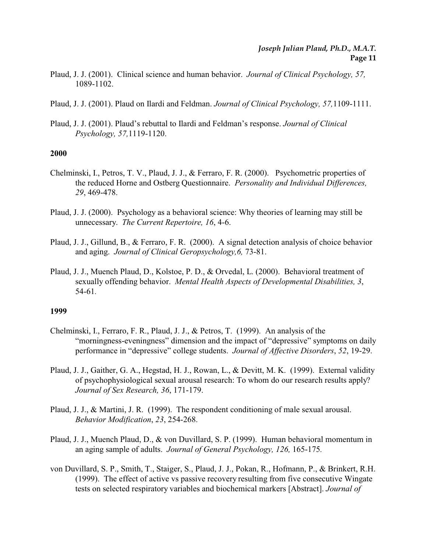- Plaud, J. J. (2001). Clinical science and human behavior. *Journal of Clinical Psychology, 57,* 1089-1102.
- Plaud, J. J. (2001). Plaud on Ilardi and Feldman. *Journal of Clinical Psychology, 57,*1109-1111.
- Plaud, J. J. (2001). Plaud's rebuttal to Ilardi and Feldman's response. *Journal of Clinical Psychology, 57,*1119-1120.

- Chelminski, I., Petros, T. V., Plaud, J. J., & Ferraro, F. R. (2000). Psychometric properties of the reduced Horne and Ostberg Questionnaire. *Personality and Individual Differences, 29*, 469-478.
- Plaud, J. J. (2000). Psychology as a behavioral science: Why theories of learning may still be unnecessary. *The Current Repertoire, 16*, 4-6.
- Plaud, J. J., Gillund, B., & Ferraro, F. R. (2000). A signal detection analysis of choice behavior and aging. *Journal of Clinical Geropsychology,6,* 73-81.
- Plaud, J. J., Muench Plaud, D., Kolstoe, P. D., & Orvedal, L. (2000). Behavioral treatment of sexually offending behavior. *Mental Health Aspects of Developmental Disabilities, 3*, 54-61*.*

- Chelminski, I., Ferraro, F. R., Plaud, J. J., & Petros, T. (1999). An analysis of the "morningness-eveningness" dimension and the impact of "depressive" symptoms on daily performance in "depressive" college students. *Journal of Affective Disorders*, *52*, 19-29.
- Plaud, J. J., Gaither, G. A., Hegstad, H. J., Rowan, L., & Devitt, M. K. (1999). External validity of psychophysiological sexual arousal research: To whom do our research results apply? *Journal of Sex Research, 36*, 171-179.
- Plaud, J. J., & Martini, J. R. (1999). The respondent conditioning of male sexual arousal. *Behavior Modification*, *23*, 254-268.
- Plaud, J. J., Muench Plaud, D., & von Duvillard, S. P. (1999). Human behavioral momentum in an aging sample of adults. *Journal of General Psychology, 126,* 165-175*.*
- von Duvillard, S. P., Smith, T., Staiger, S., Plaud, J. J., Pokan, R., Hofmann, P., & Brinkert, R.H. (1999). The effect of active vs passive recovery resulting from five consecutive Wingate tests on selected respiratory variables and biochemical markers [Abstract]. *Journal of*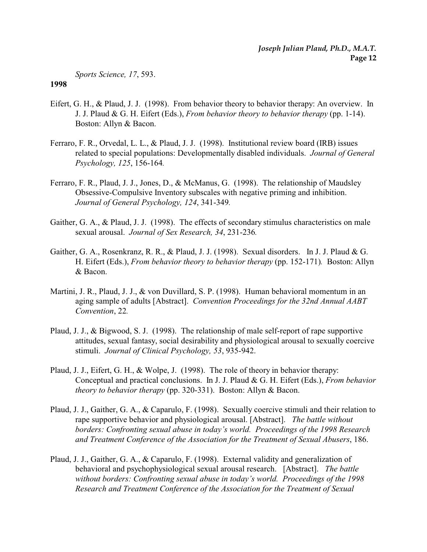*Sports Science, 17*, 593.

- Eifert, G. H., & Plaud, J. J. (1998). From behavior theory to behavior therapy: An overview. In J. J. Plaud & G. H. Eifert (Eds.), *From behavior theory to behavior therapy* (pp. 1-14). Boston: Allyn & Bacon.
- Ferraro, F. R., Orvedal, L. L., & Plaud, J. J. (1998). Institutional review board (IRB) issues related to special populations: Developmentally disabled individuals. *Journal of General Psychology, 125*, 156-164*.*
- Ferraro, F. R., Plaud, J. J., Jones, D., & McManus, G. (1998). The relationship of Maudsley Obsessive-Compulsive Inventory subscales with negative priming and inhibition. *Journal of General Psychology, 124*, 341-349*.*
- Gaither, G. A., & Plaud, J. J. (1998). The effects of secondary stimulus characteristics on male sexual arousal. *Journal of Sex Research, 34*, 231-236*.*
- Gaither, G. A., Rosenkranz, R. R., & Plaud, J. J. (1998). Sexual disorders. In J. J. Plaud & G. H. Eifert (Eds.), *From behavior theory to behavior therapy* (pp. 152-171)*.* Boston: Allyn & Bacon.
- Martini, J. R., Plaud, J. J., & von Duvillard, S. P. (1998). Human behavioral momentum in an aging sample of adults [Abstract]. *Convention Proceedings for the 32nd Annual AABT Convention*, 22*.*
- Plaud, J. J., & Bigwood, S. J. (1998). The relationship of male self-report of rape supportive attitudes, sexual fantasy, social desirability and physiological arousal to sexually coercive stimuli. *Journal of Clinical Psychology, 53*, 935-942.
- Plaud, J. J., Eifert, G. H., & Wolpe, J. (1998). The role of theory in behavior therapy: Conceptual and practical conclusions. In J. J. Plaud & G. H. Eifert (Eds.), *From behavior theory to behavior therapy* (pp. 320-331). Boston: Allyn & Bacon.
- Plaud, J. J., Gaither, G. A., & Caparulo, F. (1998). Sexually coercive stimuli and their relation to rape supportive behavior and physiological arousal. [Abstract]. *The battle without borders: Confronting sexual abuse in today's world. Proceedings of the 1998 Research and Treatment Conference of the Association for the Treatment of Sexual Abusers*, 186.
- Plaud, J. J., Gaither, G. A., & Caparulo, F. (1998). External validity and generalization of behavioral and psychophysiological sexual arousal research. [Abstract]. *The battle without borders: Confronting sexual abuse in today's world. Proceedings of the 1998 Research and Treatment Conference of the Association for the Treatment of Sexual*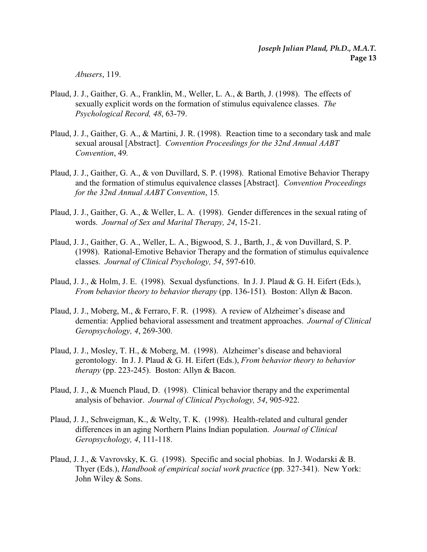*Abusers*, 119.

- Plaud, J. J., Gaither, G. A., Franklin, M., Weller, L. A., & Barth, J. (1998). The effects of sexually explicit words on the formation of stimulus equivalence classes. *The Psychological Record, 48*, 63-79.
- Plaud, J. J., Gaither, G. A., & Martini, J. R. (1998). Reaction time to a secondary task and male sexual arousal [Abstract]. *Convention Proceedings for the 32nd Annual AABT Convention*, 49*.*
- Plaud, J. J., Gaither, G. A., & von Duvillard, S. P. (1998). Rational Emotive Behavior Therapy and the formation of stimulus equivalence classes [Abstract]. *Convention Proceedings for the 32nd Annual AABT Convention*, 15*.*
- Plaud, J. J., Gaither, G. A., & Weller, L. A. (1998). Gender differences in the sexual rating of words. *Journal of Sex and Marital Therapy, 24*, 15-21.
- Plaud, J. J., Gaither, G. A., Weller, L. A., Bigwood, S. J., Barth, J., & von Duvillard, S. P. (1998). Rational-Emotive Behavior Therapy and the formation of stimulus equivalence classes. *Journal of Clinical Psychology, 54*, 597-610.
- Plaud, J. J., & Holm, J. E. (1998). Sexual dysfunctions. In J. J. Plaud & G. H. Eifert (Eds.), *From behavior theory to behavior therapy* (pp. 136-151)*.* Boston: Allyn & Bacon.
- Plaud, J. J., Moberg, M., & Ferraro, F. R. (1998). A review of Alzheimer's disease and dementia: Applied behavioral assessment and treatment approaches. *Journal of Clinical Geropsychology, 4*, 269-300.
- Plaud, J. J., Mosley, T. H., & Moberg, M. (1998). Alzheimer's disease and behavioral gerontology. In J. J. Plaud & G. H. Eifert (Eds.), *From behavior theory to behavior therapy* (pp. 223-245). Boston: Allyn & Bacon.
- Plaud, J. J., & Muench Plaud, D. (1998). Clinical behavior therapy and the experimental analysis of behavior. *Journal of Clinical Psychology, 54*, 905-922.
- Plaud, J. J., Schweigman, K., & Welty, T. K. (1998). Health-related and cultural gender differences in an aging Northern Plains Indian population. *Journal of Clinical Geropsychology, 4*, 111-118.
- Plaud, J. J., & Vavrovsky, K. G. (1998). Specific and social phobias. In J. Wodarski & B. Thyer (Eds.), *Handbook of empirical social work practice* (pp. 327-341). New York: John Wiley & Sons.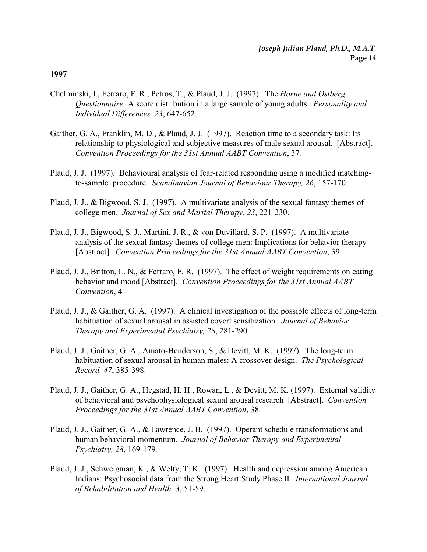- Chelminski, I., Ferraro, F. R., Petros, T., & Plaud, J. J. (1997). The *Horne and Ostberg Questionnaire:* A score distribution in a large sample of young adults. *Personality and Individual Differences, 23*, 647-652.
- Gaither, G. A., Franklin, M. D., & Plaud, J. J. (1997). Reaction time to a secondary task: Its relationship to physiological and subjective measures of male sexual arousal. [Abstract]. *Convention Proceedings for the 31st Annual AABT Convention*, 37*.*
- Plaud, J. J. (1997). Behavioural analysis of fear-related responding using a modified matchingto-sample procedure. *Scandinavian Journal of Behaviour Therapy, 26*, 157-170.
- Plaud, J. J., & Bigwood, S. J. (1997). A multivariate analysis of the sexual fantasy themes of college men. *Journal of Sex and Marital Therapy, 23*, 221-230.
- Plaud, J. J., Bigwood, S. J., Martini, J. R., & von Duvillard, S. P. (1997). A multivariate analysis of the sexual fantasy themes of college men: Implications for behavior therapy [Abstract]. *Convention Proceedings for the 31st Annual AABT Convention*, 39*.*
- Plaud, J. J., Britton, L. N., & Ferraro, F. R. (1997). The effect of weight requirements on eating behavior and mood [Abstract]. *Convention Proceedings for the 31st Annual AABT Convention*, 4*.*
- Plaud, J. J., & Gaither, G. A. (1997). A clinical investigation of the possible effects of long-term habituation of sexual arousal in assisted covert sensitization. *Journal of Behavior Therapy and Experimental Psychiatry, 28*, 281-290*.*
- Plaud, J. J., Gaither, G. A., Amato-Henderson, S., & Devitt, M. K. (1997). The long-term habituation of sexual arousal in human males: A crossover design. *The Psychological Record, 47*, 385-398.
- Plaud, J. J., Gaither, G. A., Hegstad, H. H., Rowan, L., & Devitt, M. K. (1997). External validity of behavioral and psychophysiological sexual arousal research [Abstract]. *Convention Proceedings for the 31st Annual AABT Convention*, 38.
- Plaud, J. J., Gaither, G. A., & Lawrence, J. B. (1997). Operant schedule transformations and human behavioral momentum. *Journal of Behavior Therapy and Experimental Psychiatry, 28*, 169-179*.*
- Plaud, J. J., Schweigman, K., & Welty, T. K. (1997). Health and depression among American Indians: Psychosocial data from the Strong Heart Study Phase II. *International Journal of Rehabilitation and Health, 3*, 51-59.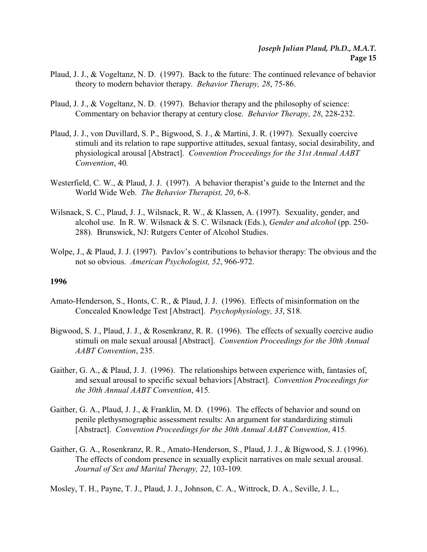- Plaud, J. J., & Vogeltanz, N. D. (1997). Back to the future: The continued relevance of behavior theory to modern behavior therapy. *Behavior Therapy, 28*, 75-86.
- Plaud, J. J., & Vogeltanz, N. D. (1997). Behavior therapy and the philosophy of science: Commentary on behavior therapy at century close. *Behavior Therapy, 28*, 228-232.
- Plaud, J. J., von Duvillard, S. P., Bigwood, S. J., & Martini, J. R. (1997). Sexually coercive stimuli and its relation to rape supportive attitudes, sexual fantasy, social desirability, and physiological arousal [Abstract]. *Convention Proceedings for the 31st Annual AABT Convention*, 40*.*
- Westerfield, C. W., & Plaud, J. J. (1997). A behavior therapist's guide to the Internet and the World Wide Web. *The Behavior Therapist, 20*, 6-8.
- Wilsnack, S. C., Plaud, J. J., Wilsnack, R. W., & Klassen, A. (1997). Sexuality, gender, and alcohol use. In R. W. Wilsnack & S. C. Wilsnack (Eds.), *Gender and alcohol* (pp. 250- 288). Brunswick, NJ: Rutgers Center of Alcohol Studies.
- Wolpe, J., & Plaud, J. J. (1997). Pavlov's contributions to behavior therapy: The obvious and the not so obvious. *American Psychologist, 52*, 966-972.

- Amato-Henderson, S., Honts, C. R., & Plaud, J. J. (1996). Effects of misinformation on the Concealed Knowledge Test [Abstract]. *Psychophysiology, 33*, S18.
- Bigwood, S. J., Plaud, J. J., & Rosenkranz, R. R. (1996). The effects of sexually coercive audio stimuli on male sexual arousal [Abstract]. *Convention Proceedings for the 30th Annual AABT Convention*, 235*.*
- Gaither, G. A., & Plaud, J. J. (1996). The relationships between experience with, fantasies of, and sexual arousal to specific sexual behaviors [Abstract]. *Convention Proceedings for the 30th Annual AABT Convention*, 415*.*
- Gaither, G. A., Plaud, J. J., & Franklin, M. D. (1996). The effects of behavior and sound on penile plethysmographic assessment results: An argument for standardizing stimuli [Abstract]. *Convention Proceedings for the 30th Annual AABT Convention*, 415*.*
- Gaither, G. A., Rosenkranz, R. R., Amato-Henderson, S., Plaud, J. J., & Bigwood, S. J. (1996). The effects of condom presence in sexually explicit narratives on male sexual arousal. *Journal of Sex and Marital Therapy, 22*, 103-109*.*

Mosley, T. H., Payne, T. J., Plaud, J. J., Johnson, C. A., Wittrock, D. A., Seville, J. L.,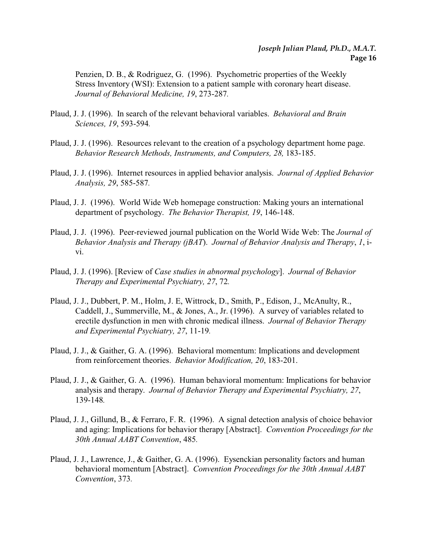Penzien, D. B., & Rodriguez, G. (1996). Psychometric properties of the Weekly Stress Inventory (WSI): Extension to a patient sample with coronary heart disease. *Journal of Behavioral Medicine, 19*, 273-287*.*

- Plaud, J. J. (1996). In search of the relevant behavioral variables. *Behavioral and Brain Sciences, 19*, 593-594*.*
- Plaud, J. J. (1996). Resources relevant to the creation of a psychology department home page. *Behavior Research Methods, Instruments, and Computers, 28,* 183-185.
- Plaud, J. J. (1996). Internet resources in applied behavior analysis. *Journal of Applied Behavior Analysis, 29*, 585-587*.*
- Plaud, J. J. (1996). World Wide Web homepage construction: Making yours an international department of psychology. *The Behavior Therapist, 19*, 146-148.
- Plaud, J. J. (1996). Peer-reviewed journal publication on the World Wide Web: The *Journal of Behavior Analysis and Therapy (jBAT*). *Journal of Behavior Analysis and Therapy*, *1*, ivi.
- Plaud, J. J. (1996). [Review of *Case studies in abnormal psychology*]. *Journal of Behavior Therapy and Experimental Psychiatry, 27*, 72*.*
- Plaud, J. J., Dubbert, P. M., Holm, J. E, Wittrock, D., Smith, P., Edison, J., McAnulty, R., Caddell, J., Summerville, M., & Jones, A., Jr. (1996). A survey of variables related to erectile dysfunction in men with chronic medical illness. *Journal of Behavior Therapy and Experimental Psychiatry, 27*, 11-19*.*
- Plaud, J. J., & Gaither, G. A. (1996). Behavioral momentum: Implications and development from reinforcement theories. *Behavior Modification, 20*, 183-201.
- Plaud, J. J., & Gaither, G. A. (1996). Human behavioral momentum: Implications for behavior analysis and therapy. *Journal of Behavior Therapy and Experimental Psychiatry, 27*, 139-148*.*
- Plaud, J. J., Gillund, B., & Ferraro, F. R. (1996). A signal detection analysis of choice behavior and aging: Implications for behavior therapy [Abstract]. *Convention Proceedings for the 30th Annual AABT Convention*, 485*.*
- Plaud, J. J., Lawrence, J., & Gaither, G. A. (1996). Eysenckian personality factors and human behavioral momentum [Abstract]. *Convention Proceedings for the 30th Annual AABT Convention*, 373*.*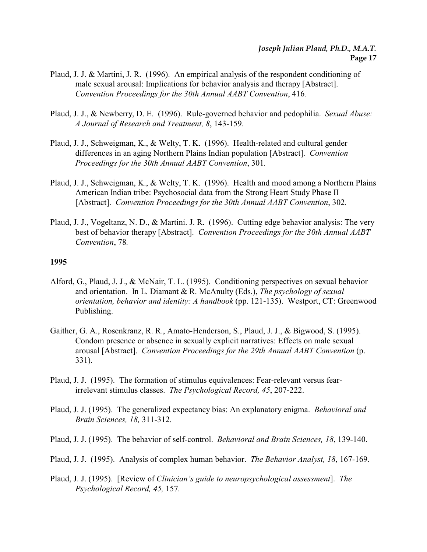- Plaud, J. J. & Martini, J. R. (1996). An empirical analysis of the respondent conditioning of male sexual arousal: Implications for behavior analysis and therapy [Abstract]. *Convention Proceedings for the 30th Annual AABT Convention*, 416*.*
- Plaud, J. J., & Newberry, D. E. (1996). Rule-governed behavior and pedophilia. *Sexual Abuse: A Journal of Research and Treatment, 8*, 143-159.
- Plaud, J. J., Schweigman, K., & Welty, T. K. (1996). Health-related and cultural gender differences in an aging Northern Plains Indian population [Abstract]. *Convention Proceedings for the 30th Annual AABT Convention*, 301*.*
- Plaud, J. J., Schweigman, K., & Welty, T. K. (1996). Health and mood among a Northern Plains American Indian tribe: Psychosocial data from the Strong Heart Study Phase II [Abstract]. *Convention Proceedings for the 30th Annual AABT Convention*, 302*.*
- Plaud, J. J., Vogeltanz, N. D., & Martini. J. R. (1996). Cutting edge behavior analysis: The very best of behavior therapy [Abstract]. *Convention Proceedings for the 30th Annual AABT Convention*, 78*.*

- Alford, G., Plaud, J. J., & McNair, T. L. (1995). Conditioning perspectives on sexual behavior and orientation. In L. Diamant & R. McAnulty (Eds.), *The psychology of sexual orientation, behavior and identity: A handbook* (pp. 121-135). Westport, CT: Greenwood Publishing.
- Gaither, G. A., Rosenkranz, R. R., Amato-Henderson, S., Plaud, J. J., & Bigwood, S. (1995). Condom presence or absence in sexually explicit narratives: Effects on male sexual arousal [Abstract]. *Convention Proceedings for the 29th Annual AABT Convention* (p. 331).
- Plaud, J. J. (1995). The formation of stimulus equivalences: Fear-relevant versus fearirrelevant stimulus classes. *The Psychological Record, 45*, 207-222.
- Plaud, J. J. (1995). The generalized expectancy bias: An explanatory enigma. *Behavioral and Brain Sciences, 18,* 311-312.
- Plaud, J. J. (1995). The behavior of self-control. *Behavioral and Brain Sciences, 18*, 139-140.
- Plaud, J. J. (1995). Analysis of complex human behavior. *The Behavior Analyst, 18*, 167-169.
- Plaud, J. J. (1995). [Review of *Clinician's guide to neuropsychological assessment*]. *The Psychological Record, 45,* 157*.*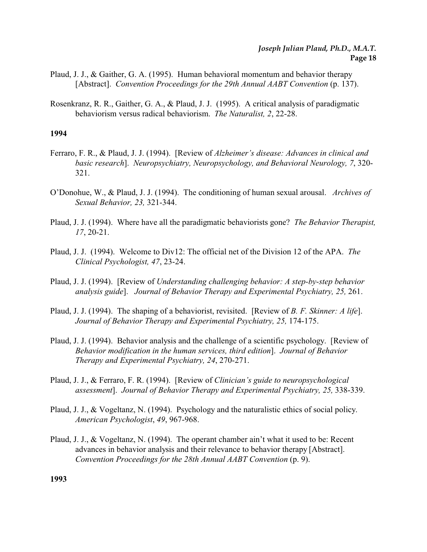- Plaud, J. J., & Gaither, G. A. (1995). Human behavioral momentum and behavior therapy [Abstract]. *Convention Proceedings for the 29th Annual AABT Convention* (p. 137).
- Rosenkranz, R. R., Gaither, G. A., & Plaud, J. J. (1995). A critical analysis of paradigmatic behaviorism versus radical behaviorism. *The Naturalist, 2*, 22-28.

- Ferraro, F. R., & Plaud, J. J. (1994). [Review of *Alzheimer's disease: Advances in clinical and basic research*]. *Neuropsychiatry, Neuropsychology, and Behavioral Neurology, 7*, 320- 321.
- O'Donohue, W., & Plaud, J. J. (1994). The conditioning of human sexual arousal. *Archives of Sexual Behavior, 23,* 321-344.
- Plaud, J. J. (1994). Where have all the paradigmatic behaviorists gone? *The Behavior Therapist, 17*, 20-21.
- Plaud, J. J. (1994). Welcome to Div12: The official net of the Division 12 of the APA. *The Clinical Psychologist, 47*, 23-24.
- Plaud, J. J. (1994). [Review of *Understanding challenging behavior: A step-by-step behavior analysis guide*]. *Journal of Behavior Therapy and Experimental Psychiatry, 25,* 261.
- Plaud, J. J. (1994). The shaping of a behaviorist, revisited. [Review of *B. F. Skinner: A life*]. *Journal of Behavior Therapy and Experimental Psychiatry, 25,* 174-175.
- Plaud, J. J. (1994). Behavior analysis and the challenge of a scientific psychology. [Review of *Behavior modification in the human services, third edition*]. *Journal of Behavior Therapy and Experimental Psychiatry, 24*, 270-271.
- Plaud, J. J., & Ferraro, F. R. (1994). [Review of *Clinician's guide to neuropsychological assessment*]. *Journal of Behavior Therapy and Experimental Psychiatry, 25,* 338-339.
- Plaud, J. J., & Vogeltanz, N. (1994). Psychology and the naturalistic ethics of social policy. *American Psychologist*, *49*, 967-968.
- Plaud, J. J., & Vogeltanz, N. (1994). The operant chamber ain't what it used to be: Recent advances in behavior analysis and their relevance to behavior therapy [Abstract]. *Convention Proceedings for the 28th Annual AABT Convention* (p. 9).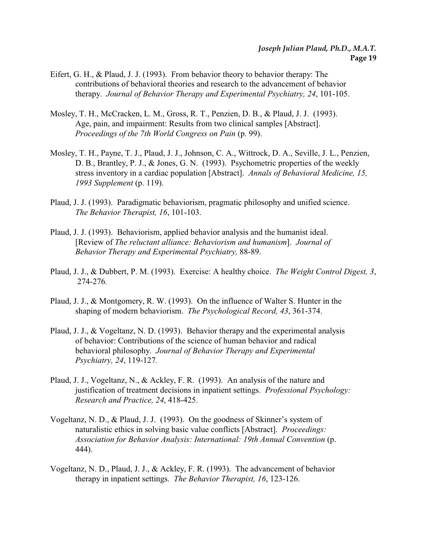- Eifert, G. H., & Plaud, J. J. (1993). From behavior theory to behavior therapy: The contributions of behavioral theories and research to the advancement of behavior therapy. *Journal of Behavior Therapy and Experimental Psychiatry, 24*, 101-105.
- Mosley, T. H., McCracken, L. M., Gross, R. T., Penzien, D. B., & Plaud, J. J. (1993). Age, pain, and impairment: Results from two clinical samples [Abstract]. *Proceedings of the 7th World Congress on Pain* (p. 99).
- Mosley, T. H., Payne, T. J., Plaud, J. J., Johnson, C. A., Wittrock, D. A., Seville, J. L., Penzien, D. B., Brantley, P. J., & Jones, G. N. (1993). Psychometric properties of the weekly stress inventory in a cardiac population [Abstract]. *Annals of Behavioral Medicine, 15, 1993 Supplement* (p. 119).
- Plaud, J. J. (1993). Paradigmatic behaviorism, pragmatic philosophy and unified science. *The Behavior Therapist, 16*, 101-103.
- Plaud, J. J. (1993). Behaviorism, applied behavior analysis and the humanist ideal. [Review of *The reluctant alliance: Behaviorism and humanism*]. *Journal of Behavior Therapy and Experimental Psychiatry,* 88-89.
- Plaud, J. J., & Dubbert, P. M. (1993). Exercise: A healthy choice. *The Weight Control Digest, 3*, 274-276*.*
- Plaud, J. J., & Montgomery, R. W. (1993). On the influence of Walter S. Hunter in the shaping of modern behaviorism. *The Psychological Record, 43*, 361-374.
- Plaud, J. J., & Vogeltanz, N. D. (1993). Behavior therapy and the experimental analysis of behavior: Contributions of the science of human behavior and radical behavioral philosophy. *Journal of Behavior Therapy and Experimental Psychiatry, 24*, 119-127*.*
- Plaud, J. J., Vogeltanz, N., & Ackley, F. R. (1993). An analysis of the nature and justification of treatment decisions in inpatient settings. *Professional Psychology: Research and Practice, 24*, 418-425.
- Vogeltanz, N. D., & Plaud, J. J. (1993). On the goodness of Skinner's system of naturalistic ethics in solving basic value conflicts [Abstract]. *Proceedings: Association for Behavior Analysis: International: 19th Annual Convention* (p. 444).
- Vogeltanz, N. D., Plaud, J. J., & Ackley, F. R. (1993). The advancement of behavior therapy in inpatient settings. *The Behavior Therapist, 16*, 123-126.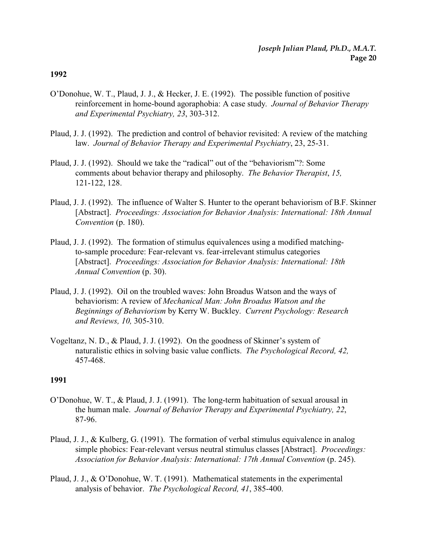- O'Donohue, W. T., Plaud, J. J., & Hecker, J. E. (1992). The possible function of positive reinforcement in home-bound agoraphobia: A case study. *Journal of Behavior Therapy and Experimental Psychiatry, 23*, 303-312.
- Plaud, J. J. (1992). The prediction and control of behavior revisited: A review of the matching law. *Journal of Behavior Therapy and Experimental Psychiatry*, 23, 25-31.
- Plaud, J. J. (1992). Should we take the "radical" out of the "behaviorism"?: Some comments about behavior therapy and philosophy. *The Behavior Therapist*, *15,* 121-122, 128.
- Plaud, J. J. (1992). The influence of Walter S. Hunter to the operant behaviorism of B.F. Skinner [Abstract]. *Proceedings: Association for Behavior Analysis: International: 18th Annual Convention* (p. 180).
- Plaud, J. J. (1992). The formation of stimulus equivalences using a modified matchingto-sample procedure: Fear-relevant vs. fear-irrelevant stimulus categories [Abstract]. *Proceedings: Association for Behavior Analysis: International: 18th Annual Convention* (p. 30).
- Plaud, J. J. (1992). Oil on the troubled waves: John Broadus Watson and the ways of behaviorism: A review of *Mechanical Man: John Broadus Watson and the Beginnings of Behaviorism* by Kerry W. Buckley. *Current Psychology: Research and Reviews, 10,* 305-310.
- Vogeltanz, N. D., & Plaud, J. J. (1992). On the goodness of Skinner's system of naturalistic ethics in solving basic value conflicts. *The Psychological Record, 42,* 457-468.

- O'Donohue, W. T., & Plaud, J. J. (1991). The long-term habituation of sexual arousal in the human male. *Journal of Behavior Therapy and Experimental Psychiatry, 22*, 87-96.
- Plaud, J. J., & Kulberg, G. (1991). The formation of verbal stimulus equivalence in analog simple phobics: Fear-relevant versus neutral stimulus classes [Abstract]. *Proceedings: Association for Behavior Analysis: International: 17th Annual Convention* (p. 245).
- Plaud, J. J., & O'Donohue, W. T. (1991). Mathematical statements in the experimental analysis of behavior. *The Psychological Record, 41*, 385-400.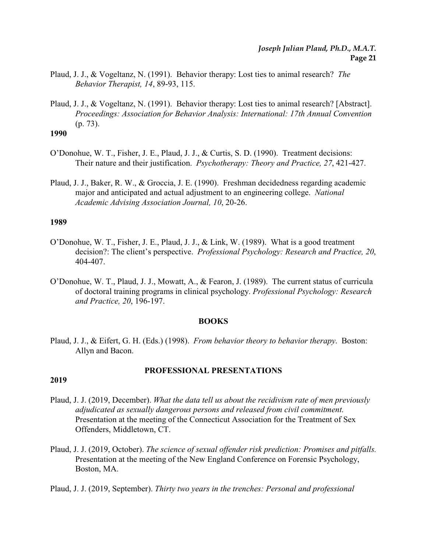- Plaud, J. J., & Vogeltanz, N. (1991). Behavior therapy: Lost ties to animal research? *The Behavior Therapist, 14*, 89-93, 115.
- Plaud, J. J., & Vogeltanz, N. (1991). Behavior therapy: Lost ties to animal research? [Abstract]. *Proceedings: Association for Behavior Analysis: International: 17th Annual Convention* (p. 73).

- O'Donohue, W. T., Fisher, J. E., Plaud, J. J., & Curtis, S. D. (1990). Treatment decisions: Their nature and their justification. *Psychotherapy: Theory and Practice, 27*, 421-427.
- Plaud, J. J., Baker, R. W., & Groccia, J. E. (1990). Freshman decidedness regarding academic major and anticipated and actual adjustment to an engineering college. *National Academic Advising Association Journal, 10*, 20-26.

### **1989**

- O'Donohue, W. T., Fisher, J. E., Plaud, J. J., & Link, W. (1989). What is a good treatment decision?: The client's perspective. *Professional Psychology: Research and Practice, 20*, 404-407.
- O'Donohue, W. T., Plaud, J. J., Mowatt, A., & Fearon, J. (1989). The current status of curricula of doctoral training programs in clinical psychology. *Professional Psychology: Research and Practice, 20*, 196-197.

#### **BOOKS**

Plaud, J. J., & Eifert, G. H. (Eds.) (1998). *From behavior theory to behavior therapy*. Boston: Allyn and Bacon.

#### **2019**

#### **PROFESSIONAL PRESENTATIONS**

- Plaud, J. J. (2019, December). *What the data tell us about the recidivism rate of men previously adjudicated as sexually dangerous persons and released from civil commitment*. Presentation at the meeting of the Connecticut Association for the Treatment of Sex Offenders, Middletown, CT.
- Plaud, J. J. (2019, October). *The science of sexual offender risk prediction: Promises and pitfalls.* Presentation at the meeting of the New England Conference on Forensic Psychology, Boston, MA.

Plaud, J. J. (2019, September). *Thirty two years in the trenches: Personal and professional*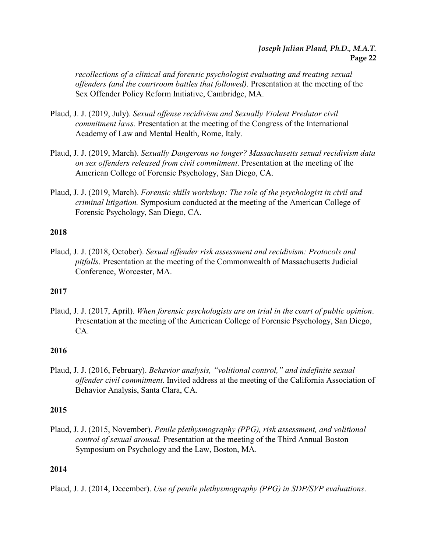*recollections of a clinical and forensic psychologist evaluating and treating sexual offenders (and the courtroom battles that followed)*. Presentation at the meeting of the Sex Offender Policy Reform Initiative, Cambridge, MA.

- Plaud, J. J. (2019, July). *Sexual offense recidivism and Sexually Violent Predator civil commitment laws.* Presentation at the meeting of the Congress of the International Academy of Law and Mental Health, Rome, Italy.
- Plaud, J. J. (2019, March). *Sexually Dangerous no longer? Massachusetts sexual recidivism data on sex offenders released from civil commitment*. Presentation at the meeting of the American College of Forensic Psychology, San Diego, CA.
- Plaud, J. J. (2019, March). *Forensic skills workshop: The role of the psychologist in civil and criminal litigation.* Symposium conducted at the meeting of the American College of Forensic Psychology, San Diego, CA.

### **2018**

Plaud, J. J. (2018, October). *Sexual offender risk assessment and recidivism: Protocols and pitfalls*. Presentation at the meeting of the Commonwealth of Massachusetts Judicial Conference, Worcester, MA.

### **2017**

Plaud, J. J. (2017, April). *When forensic psychologists are on trial in the court of public opinion*. Presentation at the meeting of the American College of Forensic Psychology, San Diego, CA.

### **2016**

Plaud, J. J. (2016, February). *Behavior analysis, "volitional control," and indefinite sexual offender civil commitment*. Invited address at the meeting of the California Association of Behavior Analysis, Santa Clara, CA.

### **2015**

Plaud, J. J. (2015, November). *Penile plethysmography (PPG), risk assessment, and volitional control of sexual arousal.* Presentation at the meeting of the Third Annual Boston Symposium on Psychology and the Law, Boston, MA.

### **2014**

Plaud, J. J. (2014, December). *Use of penile plethysmography (PPG) in SDP/SVP evaluations*.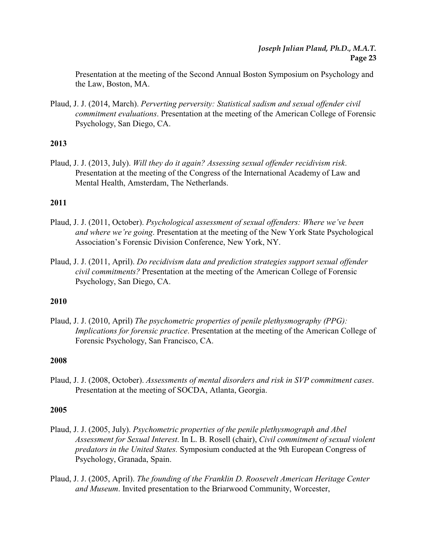Presentation at the meeting of the Second Annual Boston Symposium on Psychology and the Law, Boston, MA.

Plaud, J. J. (2014, March). *Perverting perversity: Statistical sadism and sexual offender civil commitment evaluations*. Presentation at the meeting of the American College of Forensic Psychology, San Diego, CA.

### **2013**

Plaud, J. J. (2013, July). *Will they do it again? Assessing sexual offender recidivism risk*. Presentation at the meeting of the Congress of the International Academy of Law and Mental Health, Amsterdam, The Netherlands.

### **2011**

- Plaud, J. J. (2011, October). *Psychological assessment of sexual offenders: Where we've been and where we're going*. Presentation at the meeting of the New York State Psychological Association's Forensic Division Conference, New York, NY.
- Plaud, J. J. (2011, April). *Do recidivism data and prediction strategies support sexual offender civil commitments?* Presentation at the meeting of the American College of Forensic Psychology, San Diego, CA.

### **2010**

Plaud, J. J. (2010, April) *The psychometric properties of penile plethysmography (PPG): Implications for forensic practice*. Presentation at the meeting of the American College of Forensic Psychology, San Francisco, CA.

### **2008**

Plaud, J. J. (2008, October). *Assessments of mental disorders and risk in SVP commitment cases*. Presentation at the meeting of SOCDA, Atlanta, Georgia.

- Plaud, J. J. (2005, July). *Psychometric properties of the penile plethysmograph and Abel Assessment for Sexual Interest*. In L. B. Rosell (chair), *Civil commitment of sexual violent predators in the United States.* Symposium conducted at the 9th European Congress of Psychology, Granada, Spain.
- Plaud, J. J. (2005, April). *The founding of the Franklin D. Roosevelt American Heritage Center and Museum*. Invited presentation to the Briarwood Community, Worcester,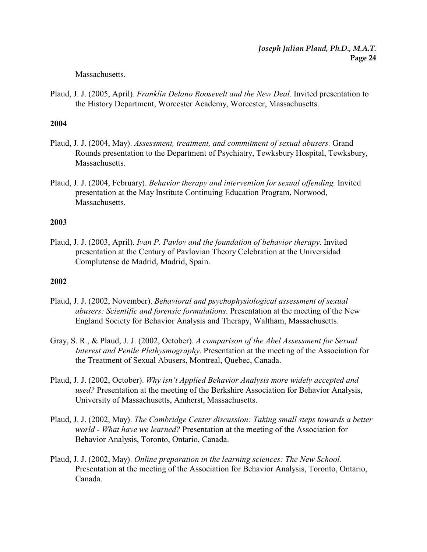### Massachusetts.

Plaud, J. J. (2005, April). *Franklin Delano Roosevelt and the New Deal*. Invited presentation to the History Department, Worcester Academy, Worcester, Massachusetts.

### **2004**

- Plaud, J. J. (2004, May). *Assessment, treatment, and commitment of sexual abusers.* Grand Rounds presentation to the Department of Psychiatry, Tewksbury Hospital, Tewksbury, Massachusetts.
- Plaud, J. J. (2004, February). *Behavior therapy and intervention for sexual offending.* Invited presentation at the May Institute Continuing Education Program, Norwood, Massachusetts.

### **2003**

Plaud, J. J. (2003, April). *Ivan P. Pavlov and the foundation of behavior therapy*. Invited presentation at the Century of Pavlovian Theory Celebration at the Universidad Complutense de Madrid, Madrid, Spain.

- Plaud, J. J. (2002, November). *Behavioral and psychophysiological assessment of sexual abusers: Scientific and forensic formulations*. Presentation at the meeting of the New England Society for Behavior Analysis and Therapy, Waltham, Massachusetts.
- Gray, S. R., & Plaud, J. J. (2002, October). *A comparison of the Abel Assessment for Sexual Interest and Penile Plethysmography*. Presentation at the meeting of the Association for the Treatment of Sexual Abusers, Montreal, Quebec, Canada.
- Plaud, J. J. (2002, October). *Why isn't Applied Behavior Analysis more widely accepted and used?* Presentation at the meeting of the Berkshire Association for Behavior Analysis, University of Massachusetts, Amherst, Massachusetts.
- Plaud, J. J. (2002, May). *The Cambridge Center discussion: Taking small steps towards a better world - What have we learned?* Presentation at the meeting of the Association for Behavior Analysis, Toronto, Ontario, Canada.
- Plaud, J. J. (2002, May). *Online preparation in the learning sciences: The New School.* Presentation at the meeting of the Association for Behavior Analysis, Toronto, Ontario, Canada.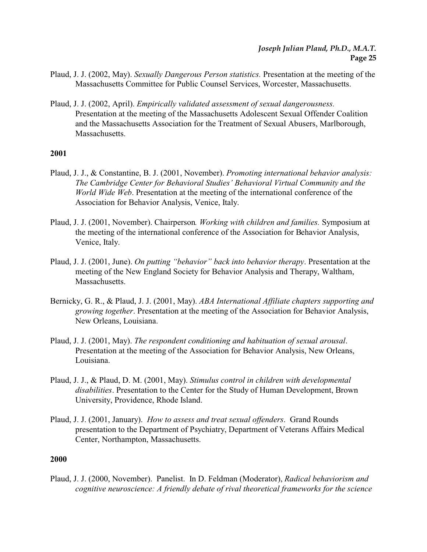- Plaud, J. J. (2002, May). *Sexually Dangerous Person statistics.* Presentation at the meeting of the Massachusetts Committee for Public Counsel Services, Worcester, Massachusetts.
- Plaud, J. J. (2002, April). *Empirically validated assessment of sexual dangerousness.* Presentation at the meeting of the Massachusetts Adolescent Sexual Offender Coalition and the Massachusetts Association for the Treatment of Sexual Abusers, Marlborough, **Massachusetts**

- Plaud, J. J., & Constantine, B. J. (2001, November). *Promoting international behavior analysis: The Cambridge Center for Behavioral Studies' Behavioral Virtual Community and the World Wide Web*. Presentation at the meeting of the international conference of the Association for Behavior Analysis, Venice, Italy.
- Plaud, J. J. (2001, November). Chairperson*. Working with children and families.* Symposium at the meeting of the international conference of the Association for Behavior Analysis, Venice, Italy.
- Plaud, J. J. (2001, June). *On putting "behavior" back into behavior therapy*. Presentation at the meeting of the New England Society for Behavior Analysis and Therapy, Waltham, Massachusetts.
- Bernicky, G. R., & Plaud, J. J. (2001, May). *ABA International Affiliate chapters supporting and growing together*. Presentation at the meeting of the Association for Behavior Analysis, New Orleans, Louisiana.
- Plaud, J. J. (2001, May). *The respondent conditioning and habituation of sexual arousal*. Presentation at the meeting of the Association for Behavior Analysis, New Orleans, Louisiana.
- Plaud, J. J., & Plaud, D. M. (2001, May). *Stimulus control in children with developmental disabilities*. Presentation to the Center for the Study of Human Development, Brown University, Providence, Rhode Island.
- Plaud, J. J. (2001, January). *How to assess and treat sexual offenders*. Grand Rounds presentation to the Department of Psychiatry, Department of Veterans Affairs Medical Center, Northampton, Massachusetts.

### **2000**

Plaud, J. J. (2000, November). Panelist. In D. Feldman (Moderator), *Radical behaviorism and cognitive neuroscience: A friendly debate of rival theoretical frameworks for the science*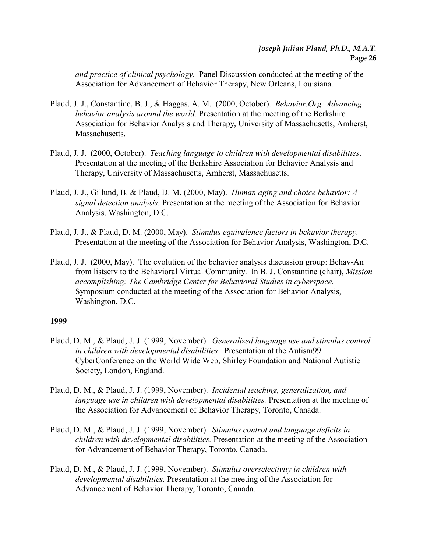*and practice of clinical psychology.* Panel Discussion conducted at the meeting of the Association for Advancement of Behavior Therapy, New Orleans, Louisiana.

- Plaud, J. J., Constantine, B. J., & Haggas, A. M. (2000, October). *Behavior.Org: Advancing behavior analysis around the world.* Presentation at the meeting of the Berkshire Association for Behavior Analysis and Therapy, University of Massachusetts, Amherst, **Massachusetts**
- Plaud, J. J. (2000, October). *Teaching language to children with developmental disabilities*. Presentation at the meeting of the Berkshire Association for Behavior Analysis and Therapy, University of Massachusetts, Amherst, Massachusetts.
- Plaud, J. J., Gillund, B. & Plaud, D. M. (2000, May). *Human aging and choice behavior: A signal detection analysis.* Presentation at the meeting of the Association for Behavior Analysis, Washington, D.C.
- Plaud, J. J., & Plaud, D. M. (2000, May). *Stimulus equivalence factors in behavior therapy.* Presentation at the meeting of the Association for Behavior Analysis, Washington, D.C.
- Plaud, J. J. (2000, May). The evolution of the behavior analysis discussion group: Behav-An from listserv to the Behavioral Virtual Community. In B. J. Constantine (chair), *Mission accomplishing: The Cambridge Center for Behavioral Studies in cyberspace.*  Symposium conducted at the meeting of the Association for Behavior Analysis, Washington, D.C.

- Plaud, D. M., & Plaud, J. J. (1999, November). *Generalized language use and stimulus control in children with developmental disabilities*. Presentation at the Autism99 CyberConference on the World Wide Web, Shirley Foundation and National Autistic Society, London, England.
- Plaud, D. M., & Plaud, J. J. (1999, November). *Incidental teaching, generalization, and language use in children with developmental disabilities.* Presentation at the meeting of the Association for Advancement of Behavior Therapy, Toronto, Canada.
- Plaud, D. M., & Plaud, J. J. (1999, November). *Stimulus control and language deficits in children with developmental disabilities.* Presentation at the meeting of the Association for Advancement of Behavior Therapy, Toronto, Canada.
- Plaud, D. M., & Plaud, J. J. (1999, November). *Stimulus overselectivity in children with developmental disabilities.* Presentation at the meeting of the Association for Advancement of Behavior Therapy, Toronto, Canada.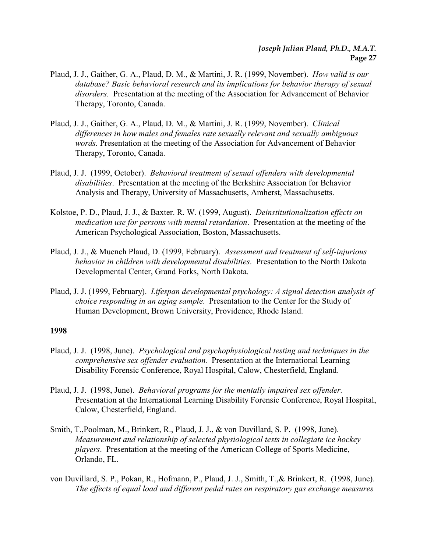- Plaud, J. J., Gaither, G. A., Plaud, D. M., & Martini, J. R. (1999, November). *How valid is our database? Basic behavioral research and its implications for behavior therapy of sexual disorders.* Presentation at the meeting of the Association for Advancement of Behavior Therapy, Toronto, Canada.
- Plaud, J. J., Gaither, G. A., Plaud, D. M., & Martini, J. R. (1999, November). *Clinical differences in how males and females rate sexually relevant and sexually ambiguous words.* Presentation at the meeting of the Association for Advancement of Behavior Therapy, Toronto, Canada.
- Plaud, J. J. (1999, October). *Behavioral treatment of sexual offenders with developmental disabilities*. Presentation at the meeting of the Berkshire Association for Behavior Analysis and Therapy, University of Massachusetts, Amherst, Massachusetts.
- Kolstoe, P. D., Plaud, J. J., & Baxter. R. W. (1999, August). *Deinstitutionalization effects on medication use for persons with mental retardation*. Presentation at the meeting of the American Psychological Association, Boston, Massachusetts.
- Plaud, J. J., & Muench Plaud, D. (1999, February). *Assessment and treatment of self-injurious behavior in children with developmental disabilities*. Presentation to the North Dakota Developmental Center, Grand Forks, North Dakota.
- Plaud, J. J. (1999, February). *Lifespan developmental psychology: A signal detection analysis of choice responding in an aging sample*. Presentation to the Center for the Study of Human Development, Brown University, Providence, Rhode Island.

- Plaud, J. J. (1998, June). *Psychological and psychophysiological testing and techniques in the comprehensive sex offender evaluation.* Presentation at the International Learning Disability Forensic Conference, Royal Hospital, Calow, Chesterfield, England.
- Plaud, J. J. (1998, June). *Behavioral programs for the mentally impaired sex offender.* Presentation at the International Learning Disability Forensic Conference, Royal Hospital, Calow, Chesterfield, England.
- Smith, T.,Poolman, M., Brinkert, R., Plaud, J. J., & von Duvillard, S. P. (1998, June). *Measurement and relationship of selected physiological tests in collegiate ice hockey players*. Presentation at the meeting of the American College of Sports Medicine, Orlando, FL.
- von Duvillard, S. P., Pokan, R., Hofmann, P., Plaud, J. J., Smith, T.,& Brinkert, R. (1998, June). *The effects of equal load and different pedal rates on respiratory gas exchange measures*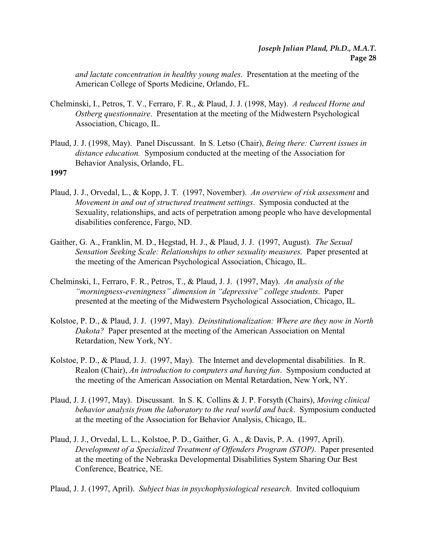*and lactate concentration in healthy young males*. Presentation at the meeting of the American College of Sports Medicine, Orlando, FL.

- Chelminski, I., Petros, T. V., Ferraro, F. R., & Plaud, J. J. (1998, May). *A reduced Horne and Ostberg questionnaire*. Presentation at the meeting of the Midwestern Psychological Association, Chicago, IL.
- Plaud, J. J. (1998, May). Panel Discussant. In S. Letso (Chair), *Being there: Current issues in distance education.* Symposium conducted at the meeting of the Association for Behavior Analysis, Orlando, FL.
- **1997**
- Plaud, J. J., Orvedal, L., & Kopp, J. T. (1997, November). *An overview of risk assessment* and *Movement in and out of structured treatment settings*. Symposia conducted at the Sexuality, relationships, and acts of perpetration among people who have developmental disabilities conference, Fargo, ND.
- Gaither, G. A., Franklin, M. D., Hegstad, H. J., & Plaud, J. J. (1997, August). *The Sexual Sensation Seeking Scale: Relationships to other sexuality measures*. Paper presented at the meeting of the American Psychological Association, Chicago, IL.
- Chelminski, I., Ferraro, F. R., Petros, T., & Plaud, J. J. (1997, May). *An analysis of the "morningness-eveningness" dimension in "depressive" college students*. Paper presented at the meeting of the Midwestern Psychological Association, Chicago, IL.
- Kolstoe, P. D., & Plaud, J. J. (1997, May). *Deinstitutionalization: Where are they now in North Dakota?* Paper presented at the meeting of the American Association on Mental Retardation, New York, NY.
- Kolstoe, P. D., & Plaud, J. J. (1997, May). The Internet and developmental disabilities. In R. Realon (Chair), *An introduction to computers and having fun*. Symposium conducted at the meeting of the American Association on Mental Retardation, New York, NY.
- Plaud, J. J. (1997, May). Discussant. In S. K. Collins & J. P. Forsyth (Chairs), *Moving clinical behavior analysis from the laboratory to the real world and back*. Symposium conducted at the meeting of the Association for Behavior Analysis, Chicago, IL.
- Plaud, J. J., Orvedal, L. L., Kolstoe, P. D., Gaither, G. A., & Davis, P. A. (1997, April). *Development of a Specialized Treatment of Offenders Program (STOP)*. Paper presented at the meeting of the Nebraska Developmental Disabilities System Sharing Our Best Conference, Beatrice, NE.

Plaud, J. J. (1997, April). *Subject bias in psychophysiological research*. Invited colloquium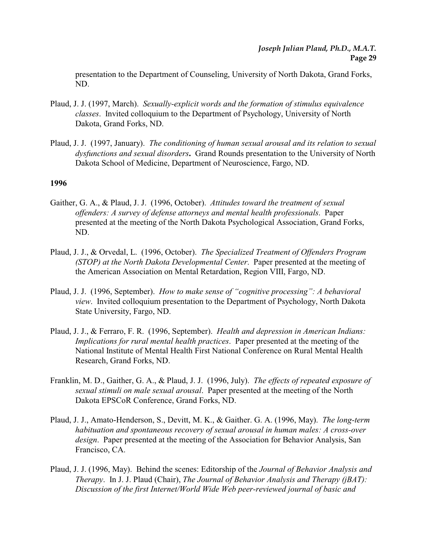presentation to the Department of Counseling, University of North Dakota, Grand Forks, ND.

- Plaud, J. J. (1997, March). *Sexually-explicit words and the formation of stimulus equivalence classes*. Invited colloquium to the Department of Psychology, University of North Dakota, Grand Forks, ND.
- Plaud, J. J. (1997, January). *The conditioning of human sexual arousal and its relation to sexual dysfunctions and sexual disorders***.** Grand Rounds presentation to the University of North Dakota School of Medicine, Department of Neuroscience, Fargo, ND.

- Gaither, G. A., & Plaud, J. J. (1996, October). *Attitudes toward the treatment of sexual offenders: A survey of defense attorneys and mental health professionals*. Paper presented at the meeting of the North Dakota Psychological Association, Grand Forks, ND.
- Plaud, J. J., & Orvedal, L. (1996, October). *The Specialized Treatment of Offenders Program (STOP) at the North Dakota Developmental Center*. Paper presented at the meeting of the American Association on Mental Retardation, Region VIII, Fargo, ND.
- Plaud, J. J. (1996, September). *How to make sense of "cognitive processing": A behavioral view*.Invited colloquium presentation to the Department of Psychology, North Dakota State University, Fargo, ND.
- Plaud, J. J., & Ferraro, F. R. (1996, September). *Health and depression in American Indians: Implications for rural mental health practices*. Paper presented at the meeting of the National Institute of Mental Health First National Conference on Rural Mental Health Research, Grand Forks, ND.
- Franklin, M. D., Gaither, G. A., & Plaud, J. J. (1996, July). *The effects of repeated exposure of sexual stimuli on male sexual arousal*. Paper presented at the meeting of the North Dakota EPSCoR Conference, Grand Forks, ND.
- Plaud, J. J., Amato-Henderson, S., Devitt, M. K., & Gaither. G. A. (1996, May). *The long-term habituation and spontaneous recovery of sexual arousal in human males: A cross-over design*. Paper presented at the meeting of the Association for Behavior Analysis, San Francisco, CA.
- Plaud, J. J. (1996, May). Behind the scenes: Editorship of the *Journal of Behavior Analysis and Therapy*.In J. J. Plaud (Chair), *The Journal of Behavior Analysis and Therapy (jBAT): Discussion of the first Internet/World Wide Web peer-reviewed journal of basic and*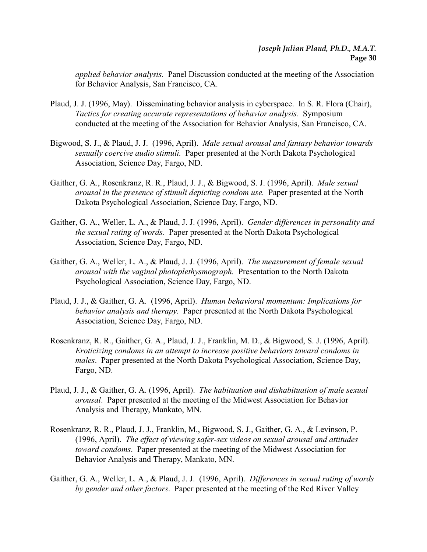*applied behavior analysis.* Panel Discussion conducted at the meeting of the Association for Behavior Analysis, San Francisco, CA.

- Plaud, J. J. (1996, May). Disseminating behavior analysis in cyberspace. In S. R. Flora (Chair), *Tactics for creating accurate representations of behavior analysis.* Symposium conducted at the meeting of the Association for Behavior Analysis, San Francisco, CA.
- Bigwood, S. J., & Plaud, J. J. (1996, April). *Male sexual arousal and fantasy behavior towards sexually coercive audio stimuli.* Paper presented at the North Dakota Psychological Association, Science Day, Fargo, ND.
- Gaither, G. A., Rosenkranz, R. R., Plaud, J. J., & Bigwood, S. J. (1996, April). *Male sexual arousal in the presence of stimuli depicting condom use.* Paper presented at the North Dakota Psychological Association, Science Day, Fargo, ND.
- Gaither, G. A., Weller, L. A., & Plaud, J. J. (1996, April). *Gender differences in personality and the sexual rating of words.* Paper presented at the North Dakota Psychological Association, Science Day, Fargo, ND.
- Gaither, G. A., Weller, L. A., & Plaud, J. J. (1996, April). *The measurement of female sexual arousal with the vaginal photoplethysmograph.* Presentation to the North Dakota Psychological Association, Science Day, Fargo, ND.
- Plaud, J. J., & Gaither, G. A. (1996, April). *Human behavioral momentum: Implications for behavior analysis and therapy*. Paper presented at the North Dakota Psychological Association, Science Day, Fargo, ND.
- Rosenkranz, R. R., Gaither, G. A., Plaud, J. J., Franklin, M. D., & Bigwood, S. J. (1996, April). *Eroticizing condoms in an attempt to increase positive behaviors toward condoms in males*. Paper presented at the North Dakota Psychological Association, Science Day, Fargo, ND.
- Plaud, J. J., & Gaither, G. A. (1996, April). *The habituation and dishabituation of male sexual arousal*. Paper presented at the meeting of the Midwest Association for Behavior Analysis and Therapy, Mankato, MN.
- Rosenkranz, R. R., Plaud, J. J., Franklin, M., Bigwood, S. J., Gaither, G. A., & Levinson, P. (1996, April). *The effect of viewing safer-sex videos on sexual arousal and attitudes toward condoms*. Paper presented at the meeting of the Midwest Association for Behavior Analysis and Therapy, Mankato, MN.
- Gaither, G. A., Weller, L. A., & Plaud, J. J. (1996, April). *Differences in sexual rating of words by gender and other factors*. Paper presented at the meeting of the Red River Valley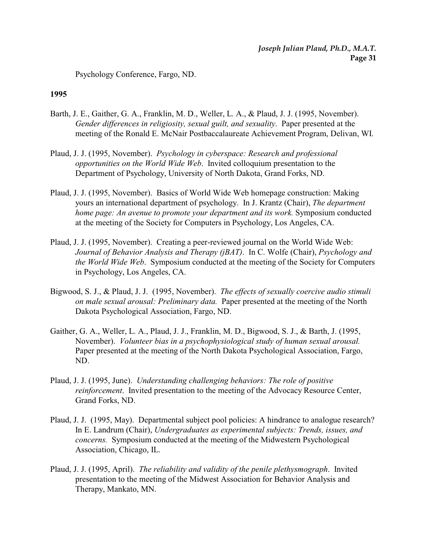Psychology Conference, Fargo, ND.

- Barth, J. E., Gaither, G. A., Franklin, M. D., Weller, L. A., & Plaud, J. J. (1995, November). *Gender differences in religiosity, sexual guilt, and sexuality*.Paper presented at the meeting of the Ronald E. McNair Postbaccalaureate Achievement Program, Delivan, WI.
- Plaud, J. J. (1995, November). *Psychology in cyberspace: Research and professional opportunities on the World Wide Web*. Invited colloquium presentation to the Department of Psychology, University of North Dakota, Grand Forks, ND.
- Plaud, J. J. (1995, November). Basics of World Wide Web homepage construction: Making yours an international department of psychology. In J. Krantz (Chair), *The department home page: An avenue to promote your department and its work.* Symposium conducted at the meeting of the Society for Computers in Psychology, Los Angeles, CA.
- Plaud, J. J. (1995, November). Creating a peer-reviewed journal on the World Wide Web: *Journal of Behavior Analysis and Therapy (jBAT)*. In C. Wolfe (Chair), *Psychology and the World Wide Web*. Symposium conducted at the meeting of the Society for Computers in Psychology, Los Angeles, CA.
- Bigwood, S. J., & Plaud, J. J. (1995, November). *The effects of sexually coercive audio stimuli on male sexual arousal: Preliminary data.* Paper presented at the meeting of the North Dakota Psychological Association, Fargo, ND.
- Gaither, G. A., Weller, L. A., Plaud, J. J., Franklin, M. D., Bigwood, S. J., & Barth, J. (1995, November). *Volunteer bias in a psychophysiological study of human sexual arousal.* Paper presented at the meeting of the North Dakota Psychological Association, Fargo, ND.
- Plaud, J. J. (1995, June). *Understanding challenging behaviors: The role of positive reinforcement*. Invited presentation to the meeting of the Advocacy Resource Center, Grand Forks, ND.
- Plaud, J. J. (1995, May). Departmental subject pool policies: A hindrance to analogue research? In E. Landrum (Chair), *Undergraduates as experimental subjects: Trends, issues, and concerns.* Symposium conducted at the meeting of the Midwestern Psychological Association, Chicago, IL.
- Plaud, J. J. (1995, April). *The reliability and validity of the penile plethysmograph*. Invited presentation to the meeting of the Midwest Association for Behavior Analysis and Therapy, Mankato, MN.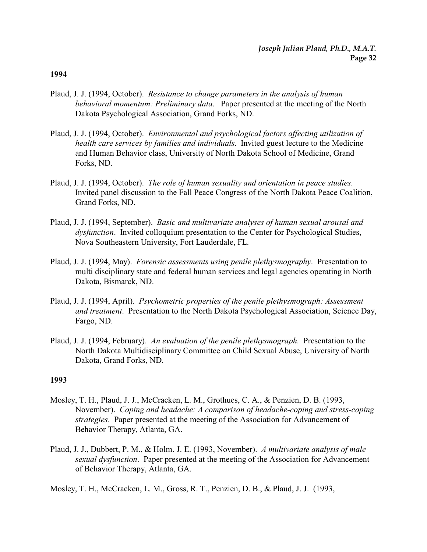- Plaud, J. J. (1994, October). *Resistance to change parameters in the analysis of human behavioral momentum: Preliminary data*. Paper presented at the meeting of the North Dakota Psychological Association, Grand Forks, ND.
- Plaud, J. J. (1994, October). *Environmental and psychological factors affecting utilization of health care services by families and individuals*. Invited guest lecture to the Medicine and Human Behavior class, University of North Dakota School of Medicine, Grand Forks, ND.
- Plaud, J. J. (1994, October). *The role of human sexuality and orientation in peace studies*. Invited panel discussion to the Fall Peace Congress of the North Dakota Peace Coalition, Grand Forks, ND.
- Plaud, J. J. (1994, September). *Basic and multivariate analyses of human sexual arousal and dysfunction*. Invited colloquium presentation to the Center for Psychological Studies, Nova Southeastern University, Fort Lauderdale, FL.
- Plaud, J. J. (1994, May). *Forensic assessments using penile plethysmography*. Presentation to multi disciplinary state and federal human services and legal agencies operating in North Dakota, Bismarck, ND.
- Plaud, J. J. (1994, April). *Psychometric properties of the penile plethysmograph: Assessment and treatment*. Presentation to the North Dakota Psychological Association, Science Day, Fargo, ND.
- Plaud, J. J. (1994, February). *An evaluation of the penile plethysmograph.* Presentation to the North Dakota Multidisciplinary Committee on Child Sexual Abuse, University of North Dakota, Grand Forks, ND.

### **1993**

- Mosley, T. H., Plaud, J. J., McCracken, L. M., Grothues, C. A., & Penzien, D. B. (1993, November). *Coping and headache: A comparison of headache-coping and stress-coping strategies*. Paper presented at the meeting of the Association for Advancement of Behavior Therapy, Atlanta, GA.
- Plaud, J. J., Dubbert, P. M., & Holm. J. E. (1993, November). *A multivariate analysis of male sexual dysfunction*. Paper presented at the meeting of the Association for Advancement of Behavior Therapy, Atlanta, GA.

Mosley, T. H., McCracken, L. M., Gross, R. T., Penzien, D. B., & Plaud, J. J. (1993,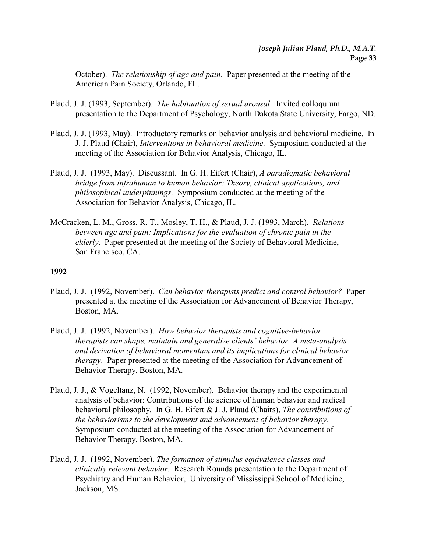October). *The relationship of age and pain.* Paper presented at the meeting of the American Pain Society, Orlando, FL.

- Plaud, J. J. (1993, September). *The habituation of sexual arousal*. Invited colloquium presentation to the Department of Psychology, North Dakota State University, Fargo, ND.
- Plaud, J. J. (1993, May). Introductory remarks on behavior analysis and behavioral medicine. In J. J. Plaud (Chair), *Interventions in behavioral medicine*. Symposium conducted at the meeting of the Association for Behavior Analysis, Chicago, IL.
- Plaud, J. J. (1993, May). Discussant. In G. H. Eifert (Chair), *A paradigmatic behavioral bridge from infrahuman to human behavior: Theory, clinical applications, and philosophical underpinnings.* Symposium conducted at the meeting of the Association for Behavior Analysis, Chicago, IL.
- McCracken, L. M., Gross, R. T., Mosley, T. H., & Plaud, J. J. (1993, March). *Relations between age and pain: Implications for the evaluation of chronic pain in the elderly*. Paper presented at the meeting of the Society of Behavioral Medicine, San Francisco, CA.

- Plaud, J. J. (1992, November). *Can behavior therapists predict and control behavior?* Paper presented at the meeting of the Association for Advancement of Behavior Therapy, Boston, MA.
- Plaud, J. J. (1992, November). *How behavior therapists and cognitive-behavior therapists can shape, maintain and generalize clients' behavior: A meta-analysis and derivation of behavioral momentum and its implications for clinical behavior therapy*. Paper presented at the meeting of the Association for Advancement of Behavior Therapy, Boston, MA.
- Plaud, J. J., & Vogeltanz, N. (1992, November). Behavior therapy and the experimental analysis of behavior: Contributions of the science of human behavior and radical behavioral philosophy. In G. H. Eifert & J. J. Plaud (Chairs), *The contributions of the behaviorisms to the development and advancement of behavior therapy*. Symposium conducted at the meeting of the Association for Advancement of Behavior Therapy, Boston, MA.
- Plaud, J. J. (1992, November). *The formation of stimulus equivalence classes and clinically relevant behavior*. Research Rounds presentation to the Department of Psychiatry and Human Behavior, University of Mississippi School of Medicine, Jackson, MS.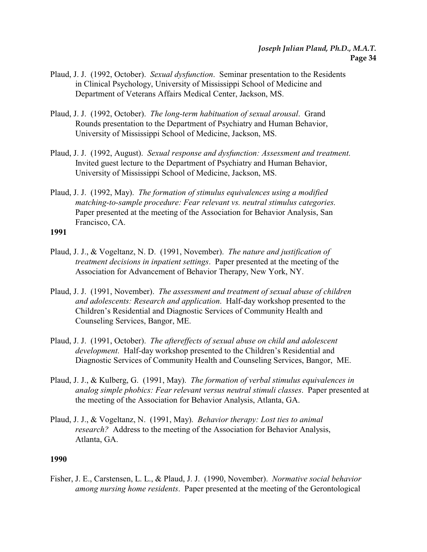- Plaud, J. J. (1992, October). *Sexual dysfunction*. Seminar presentation to the Residents in Clinical Psychology, University of Mississippi School of Medicine and Department of Veterans Affairs Medical Center, Jackson, MS.
- Plaud, J. J. (1992, October). *The long-term habituation of sexual arousal*. Grand Rounds presentation to the Department of Psychiatry and Human Behavior, University of Mississippi School of Medicine, Jackson, MS.
- Plaud, J. J. (1992, August). *Sexual response and dysfunction: Assessment and treatment*. Invited guest lecture to the Department of Psychiatry and Human Behavior, University of Mississippi School of Medicine, Jackson, MS.
- Plaud, J. J. (1992, May). *The formation of stimulus equivalences using a modified matching-to-sample procedure: Fear relevant vs. neutral stimulus categories*. Paper presented at the meeting of the Association for Behavior Analysis, San Francisco, CA.

- Plaud, J. J., & Vogeltanz, N. D. (1991, November). *The nature and justification of treatment decisions in inpatient settings*. Paper presented at the meeting of the Association for Advancement of Behavior Therapy, New York, NY.
- Plaud, J. J. (1991, November). *The assessment and treatment of sexual abuse of children and adolescents: Research and application*. Half-day workshop presented to the Children's Residential and Diagnostic Services of Community Health and Counseling Services, Bangor, ME.
- Plaud, J. J. (1991, October). *The aftereffects of sexual abuse on child and adolescent development*. Half-day workshop presented to the Children's Residential and Diagnostic Services of Community Health and Counseling Services, Bangor, ME.
- Plaud, J. J., & Kulberg, G. (1991, May). *The formation of verbal stimulus equivalences in analog simple phobics: Fear relevant versus neutral stimuli classes*. Paper presented at the meeting of the Association for Behavior Analysis, Atlanta, GA.
- Plaud, J. J., & Vogeltanz, N. (1991, May). *Behavior therapy: Lost ties to animal research?* Address to the meeting of the Association for Behavior Analysis, Atlanta, GA.

### **1990**

Fisher, J. E., Carstensen, L. L., & Plaud, J. J. (1990, November). *Normative social behavior among nursing home residents*. Paper presented at the meeting of the Gerontological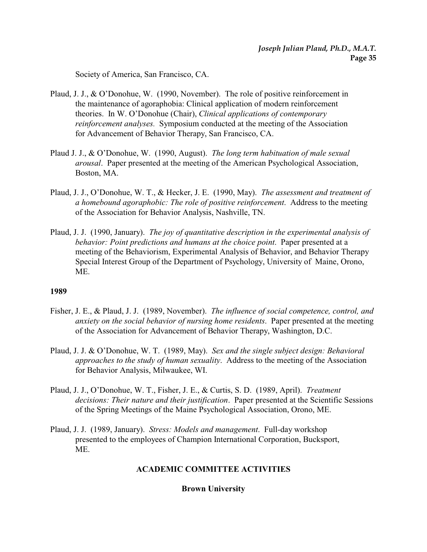Society of America, San Francisco, CA.

- Plaud, J. J., & O'Donohue, W. (1990, November). The role of positive reinforcement in the maintenance of agoraphobia: Clinical application of modern reinforcement theories. In W. O'Donohue (Chair), *Clinical applications of contemporary reinforcement analyses.* Symposium conducted at the meeting of the Association for Advancement of Behavior Therapy, San Francisco, CA.
- Plaud J. J., & O'Donohue, W. (1990, August). *The long term habituation of male sexual arousal*. Paper presented at the meeting of the American Psychological Association, Boston, MA.
- Plaud, J. J., O'Donohue, W. T., & Hecker, J. E. (1990, May). *The assessment and treatment of a homebound agoraphobic: The role of positive reinforcement*. Address to the meeting of the Association for Behavior Analysis, Nashville, TN.
- Plaud, J. J. (1990, January). *The joy of quantitative description in the experimental analysis of behavior: Point predictions and humans at the choice point*. Paper presented at a meeting of the Behaviorism, Experimental Analysis of Behavior, and Behavior Therapy Special Interest Group of the Department of Psychology, University of Maine, Orono, ME.

### **1989**

- Fisher, J. E., & Plaud, J. J. (1989, November). *The influence of social competence, control, and anxiety on the social behavior of nursing home residents*. Paper presented at the meeting of the Association for Advancement of Behavior Therapy, Washington, D.C.
- Plaud, J. J. & O'Donohue, W. T. (1989, May). *Sex and the single subject design: Behavioral approaches to the study of human sexuality*. Address to the meeting of the Association for Behavior Analysis, Milwaukee, WI.
- Plaud, J. J., O'Donohue, W. T., Fisher, J. E., & Curtis, S. D. (1989, April). *Treatment decisions: Their nature and their justification*. Paper presented at the Scientific Sessions of the Spring Meetings of the Maine Psychological Association, Orono, ME.
- Plaud, J. J. (1989, January). *Stress: Models and management*. Full-day workshop presented to the employees of Champion International Corporation, Bucksport, ME.

### **ACADEMIC COMMITTEE ACTIVITIES**

### **Brown University**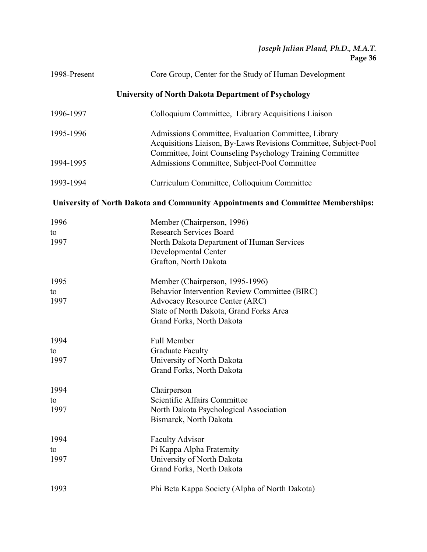| 1998-Present                                               | Core Group, Center for the Study of Human Development                                                                                                                               |  |
|------------------------------------------------------------|-------------------------------------------------------------------------------------------------------------------------------------------------------------------------------------|--|
| <b>University of North Dakota Department of Psychology</b> |                                                                                                                                                                                     |  |
| 1996-1997                                                  | Colloquium Committee, Library Acquisitions Liaison                                                                                                                                  |  |
| 1995-1996                                                  | Admissions Committee, Evaluation Committee, Library<br>Acquisitions Liaison, By-Laws Revisions Committee, Subject-Pool<br>Committee, Joint Counseling Psychology Training Committee |  |
| 1994-1995                                                  | Admissions Committee, Subject-Pool Committee                                                                                                                                        |  |
| 1993-1994                                                  | Curriculum Committee, Colloquium Committee                                                                                                                                          |  |
|                                                            | University of North Dakota and Community Appointments and Committee Memberships:                                                                                                    |  |
| 1996                                                       | Member (Chairperson, 1996)                                                                                                                                                          |  |
| to                                                         | <b>Research Services Board</b>                                                                                                                                                      |  |
| 1997                                                       | North Dakota Department of Human Services                                                                                                                                           |  |
|                                                            | Developmental Center                                                                                                                                                                |  |
|                                                            | Grafton, North Dakota                                                                                                                                                               |  |
| 1995                                                       | Member (Chairperson, 1995-1996)                                                                                                                                                     |  |
| to                                                         | Behavior Intervention Review Committee (BIRC)                                                                                                                                       |  |
| 1997                                                       | Advocacy Resource Center (ARC)                                                                                                                                                      |  |
|                                                            | State of North Dakota, Grand Forks Area                                                                                                                                             |  |
|                                                            | Grand Forks, North Dakota                                                                                                                                                           |  |
| 1994                                                       | <b>Full Member</b>                                                                                                                                                                  |  |
| to                                                         | <b>Graduate Faculty</b>                                                                                                                                                             |  |
| 1997                                                       | University of North Dakota                                                                                                                                                          |  |
|                                                            | Grand Forks, North Dakota                                                                                                                                                           |  |
| 1994                                                       | Chairperson                                                                                                                                                                         |  |
| to                                                         | Scientific Affairs Committee                                                                                                                                                        |  |
| 1997                                                       | North Dakota Psychological Association                                                                                                                                              |  |
|                                                            | Bismarck, North Dakota                                                                                                                                                              |  |
| 1994                                                       | <b>Faculty Advisor</b>                                                                                                                                                              |  |
| to                                                         | Pi Kappa Alpha Fraternity                                                                                                                                                           |  |
| 1997                                                       | University of North Dakota                                                                                                                                                          |  |
|                                                            | Grand Forks, North Dakota                                                                                                                                                           |  |
| 1993                                                       | Phi Beta Kappa Society (Alpha of North Dakota)                                                                                                                                      |  |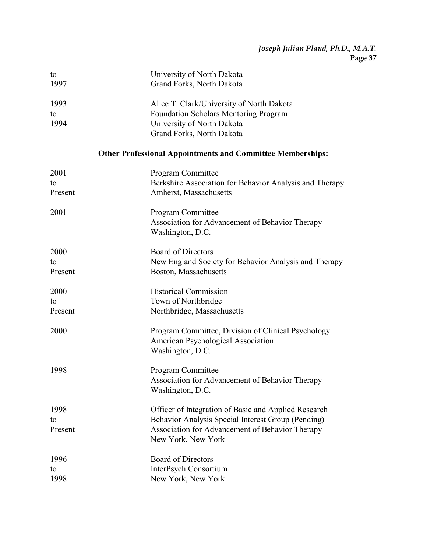| to      | University of North Dakota                                        |
|---------|-------------------------------------------------------------------|
| 1997    | Grand Forks, North Dakota                                         |
| 1993    | Alice T. Clark/University of North Dakota                         |
| to      | <b>Foundation Scholars Mentoring Program</b>                      |
| 1994    | University of North Dakota                                        |
|         | Grand Forks, North Dakota                                         |
|         | <b>Other Professional Appointments and Committee Memberships:</b> |
| 2001    | <b>Program Committee</b>                                          |
| to      | Berkshire Association for Behavior Analysis and Therapy           |
| Present | Amherst, Massachusetts                                            |
| 2001    | Program Committee                                                 |
|         | Association for Advancement of Behavior Therapy                   |
|         | Washington, D.C.                                                  |
| 2000    | <b>Board of Directors</b>                                         |
| to      | New England Society for Behavior Analysis and Therapy             |
| Present | Boston, Massachusetts                                             |
| 2000    | <b>Historical Commission</b>                                      |
| to      | Town of Northbridge                                               |
| Present | Northbridge, Massachusetts                                        |
| 2000    | Program Committee, Division of Clinical Psychology                |
|         | American Psychological Association                                |
|         | Washington, D.C.                                                  |
| 1998    | Program Committee                                                 |
|         | Association for Advancement of Behavior Therapy                   |
|         | Washington, D.C.                                                  |
| 1998    | Officer of Integration of Basic and Applied Research              |
| to      | Behavior Analysis Special Interest Group (Pending)                |
| Present | Association for Advancement of Behavior Therapy                   |
|         | New York, New York                                                |
| 1996    | <b>Board of Directors</b>                                         |
| to      | InterPsych Consortium                                             |
| 1998    | New York, New York                                                |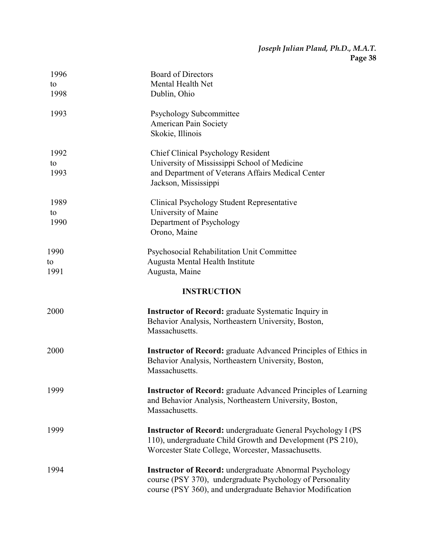| 1996<br>to         | <b>Board of Directors</b><br>Mental Health Net                                                                                                                                           |
|--------------------|------------------------------------------------------------------------------------------------------------------------------------------------------------------------------------------|
| 1998<br>1993       | Dublin, Ohio<br><b>Psychology Subcommittee</b><br><b>American Pain Society</b><br>Skokie, Illinois                                                                                       |
| 1992<br>to<br>1993 | <b>Chief Clinical Psychology Resident</b><br>University of Mississippi School of Medicine<br>and Department of Veterans Affairs Medical Center<br>Jackson, Mississippi                   |
| 1989<br>to<br>1990 | Clinical Psychology Student Representative<br>University of Maine<br>Department of Psychology<br>Orono, Maine                                                                            |
| 1990<br>to<br>1991 | Psychosocial Rehabilitation Unit Committee<br>Augusta Mental Health Institute<br>Augusta, Maine                                                                                          |
|                    | <b>INSTRUCTION</b>                                                                                                                                                                       |
| 2000               | <b>Instructor of Record:</b> graduate Systematic Inquiry in<br>Behavior Analysis, Northeastern University, Boston,<br>Massachusetts.                                                     |
| 2000               | <b>Instructor of Record:</b> graduate Advanced Principles of Ethics in<br>Behavior Analysis, Northeastern University, Boston,<br>Massachusetts.                                          |
| 1999               | <b>Instructor of Record:</b> graduate Advanced Principles of Learning<br>and Behavior Analysis, Northeastern University, Boston,<br>Massachusetts.                                       |
| 1999               | <b>Instructor of Record:</b> undergraduate General Psychology I (PS)<br>110), undergraduate Child Growth and Development (PS 210),<br>Worcester State College, Worcester, Massachusetts. |
| 1994               | <b>Instructor of Record:</b> undergraduate Abnormal Psychology<br>course (PSY 370), undergraduate Psychology of Personality<br>course (PSY 360), and undergraduate Behavior Modification |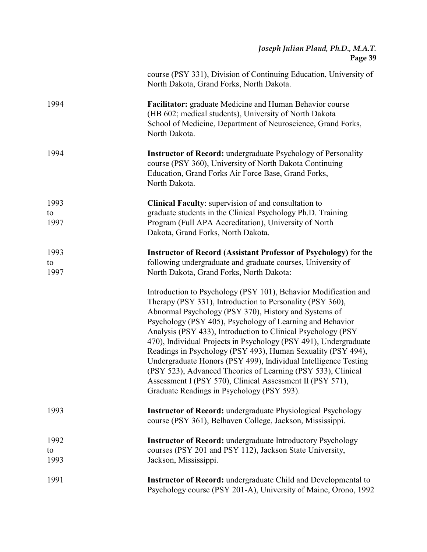|                    | course (PSY 331), Division of Continuing Education, University of<br>North Dakota, Grand Forks, North Dakota.                                                                                                                                                                                                                                                                                                                                                                                                                                                                                                                                                                                        |
|--------------------|------------------------------------------------------------------------------------------------------------------------------------------------------------------------------------------------------------------------------------------------------------------------------------------------------------------------------------------------------------------------------------------------------------------------------------------------------------------------------------------------------------------------------------------------------------------------------------------------------------------------------------------------------------------------------------------------------|
| 1994               | Facilitator: graduate Medicine and Human Behavior course<br>(HB 602; medical students), University of North Dakota<br>School of Medicine, Department of Neuroscience, Grand Forks,<br>North Dakota.                                                                                                                                                                                                                                                                                                                                                                                                                                                                                                  |
| 1994               | <b>Instructor of Record:</b> undergraduate Psychology of Personality<br>course (PSY 360), University of North Dakota Continuing<br>Education, Grand Forks Air Force Base, Grand Forks,<br>North Dakota.                                                                                                                                                                                                                                                                                                                                                                                                                                                                                              |
| 1993<br>to<br>1997 | <b>Clinical Faculty:</b> supervision of and consultation to<br>graduate students in the Clinical Psychology Ph.D. Training<br>Program (Full APA Accreditation), University of North<br>Dakota, Grand Forks, North Dakota.                                                                                                                                                                                                                                                                                                                                                                                                                                                                            |
| 1993<br>to<br>1997 | <b>Instructor of Record (Assistant Professor of Psychology)</b> for the<br>following undergraduate and graduate courses, University of<br>North Dakota, Grand Forks, North Dakota:                                                                                                                                                                                                                                                                                                                                                                                                                                                                                                                   |
|                    | Introduction to Psychology (PSY 101), Behavior Modification and<br>Therapy (PSY 331), Introduction to Personality (PSY 360),<br>Abnormal Psychology (PSY 370), History and Systems of<br>Psychology (PSY 405), Psychology of Learning and Behavior<br>Analysis (PSY 433), Introduction to Clinical Psychology (PSY<br>470), Individual Projects in Psychology (PSY 491), Undergraduate<br>Readings in Psychology (PSY 493), Human Sexuality (PSY 494),<br>Undergraduate Honors (PSY 499), Individual Intelligence Testing<br>(PSY 523), Advanced Theories of Learning (PSY 533), Clinical<br>Assessment I (PSY 570), Clinical Assessment II (PSY 571),<br>Graduate Readings in Psychology (PSY 593). |
| 1993               | <b>Instructor of Record:</b> undergraduate Physiological Psychology<br>course (PSY 361), Belhaven College, Jackson, Mississippi.                                                                                                                                                                                                                                                                                                                                                                                                                                                                                                                                                                     |
| 1992<br>to<br>1993 | <b>Instructor of Record:</b> undergraduate Introductory Psychology<br>courses (PSY 201 and PSY 112), Jackson State University,<br>Jackson, Mississippi.                                                                                                                                                                                                                                                                                                                                                                                                                                                                                                                                              |
| 1991               | <b>Instructor of Record:</b> undergraduate Child and Developmental to<br>Psychology course (PSY 201-A), University of Maine, Orono, 1992                                                                                                                                                                                                                                                                                                                                                                                                                                                                                                                                                             |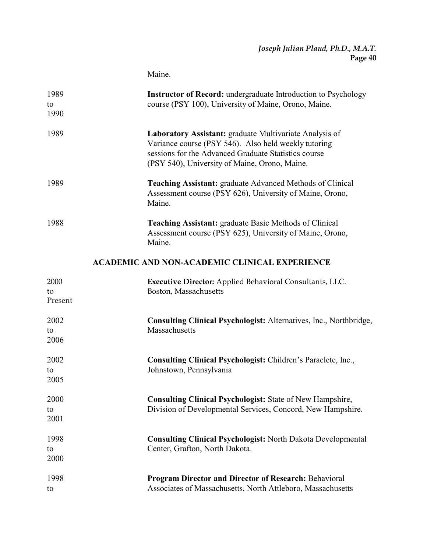Maine.

| 1989<br>to<br>1990    | Instructor of Record: undergraduate Introduction to Psychology<br>course (PSY 100), University of Maine, Orono, Maine.                                                                                                   |
|-----------------------|--------------------------------------------------------------------------------------------------------------------------------------------------------------------------------------------------------------------------|
| 1989                  | Laboratory Assistant: graduate Multivariate Analysis of<br>Variance course (PSY 546). Also held weekly tutoring<br>sessions for the Advanced Graduate Statistics course<br>(PSY 540), University of Maine, Orono, Maine. |
| 1989                  | <b>Teaching Assistant:</b> graduate Advanced Methods of Clinical<br>Assessment course (PSY 626), University of Maine, Orono,<br>Maine.                                                                                   |
| 1988                  | <b>Teaching Assistant: graduate Basic Methods of Clinical</b><br>Assessment course (PSY 625), University of Maine, Orono,<br>Maine.                                                                                      |
|                       | <b>ACADEMIC AND NON-ACADEMIC CLINICAL EXPERIENCE</b>                                                                                                                                                                     |
| 2000<br>to<br>Present | Executive Director: Applied Behavioral Consultants, LLC.<br>Boston, Massachusetts                                                                                                                                        |
| 2002<br>to<br>2006    | <b>Consulting Clinical Psychologist:</b> Alternatives, Inc., Northbridge,<br>Massachusetts                                                                                                                               |
| 2002<br>to<br>2005    | Consulting Clinical Psychologist: Children's Paraclete, Inc.,<br>Johnstown, Pennsylvania                                                                                                                                 |
| 2000<br>to<br>2001    | <b>Consulting Clinical Psychologist: State of New Hampshire,</b><br>Division of Developmental Services, Concord, New Hampshire.                                                                                          |
| 1998<br>to<br>2000    | <b>Consulting Clinical Psychologist:</b> North Dakota Developmental<br>Center, Grafton, North Dakota.                                                                                                                    |
| 1998<br>to            | <b>Program Director and Director of Research: Behavioral</b><br>Associates of Massachusetts, North Attleboro, Massachusetts                                                                                              |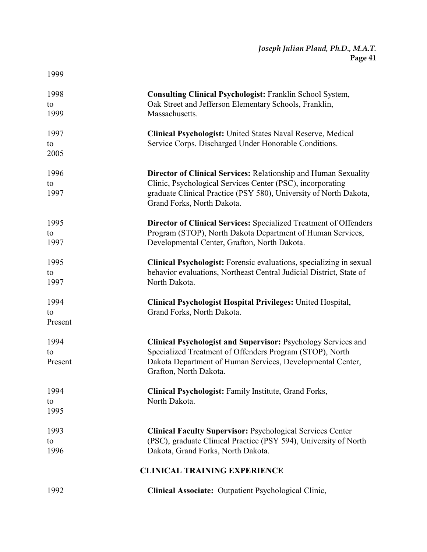| 1998<br>to<br>1999    | <b>Consulting Clinical Psychologist: Franklin School System,</b><br>Oak Street and Jefferson Elementary Schools, Franklin,<br>Massachusetts.                                                                                     |
|-----------------------|----------------------------------------------------------------------------------------------------------------------------------------------------------------------------------------------------------------------------------|
| 1997<br>to<br>2005    | <b>Clinical Psychologist:</b> United States Naval Reserve, Medical<br>Service Corps. Discharged Under Honorable Conditions.                                                                                                      |
| 1996<br>to<br>1997    | Director of Clinical Services: Relationship and Human Sexuality<br>Clinic, Psychological Services Center (PSC), incorporating<br>graduate Clinical Practice (PSY 580), University of North Dakota,<br>Grand Forks, North Dakota. |
| 1995<br>to<br>1997    | <b>Director of Clinical Services: Specialized Treatment of Offenders</b><br>Program (STOP), North Dakota Department of Human Services,<br>Developmental Center, Grafton, North Dakota.                                           |
| 1995<br>to<br>1997    | Clinical Psychologist: Forensic evaluations, specializing in sexual<br>behavior evaluations, Northeast Central Judicial District, State of<br>North Dakota.                                                                      |
| 1994<br>to<br>Present | <b>Clinical Psychologist Hospital Privileges: United Hospital,</b><br>Grand Forks, North Dakota.                                                                                                                                 |
| 1994<br>to<br>Present | <b>Clinical Psychologist and Supervisor: Psychology Services and</b><br>Specialized Treatment of Offenders Program (STOP), North<br>Dakota Department of Human Services, Developmental Center,<br>Grafton, North Dakota.         |
| 1994<br>to<br>1995    | Clinical Psychologist: Family Institute, Grand Forks,<br>North Dakota.                                                                                                                                                           |
| 1993<br>to<br>1996    | <b>Clinical Faculty Supervisor: Psychological Services Center</b><br>(PSC), graduate Clinical Practice (PSY 594), University of North<br>Dakota, Grand Forks, North Dakota.                                                      |
|                       | <b>CLINICAL TRAINING EXPERIENCE</b>                                                                                                                                                                                              |
| 1992                  | Clinical Associate: Outpatient Psychological Clinic,                                                                                                                                                                             |